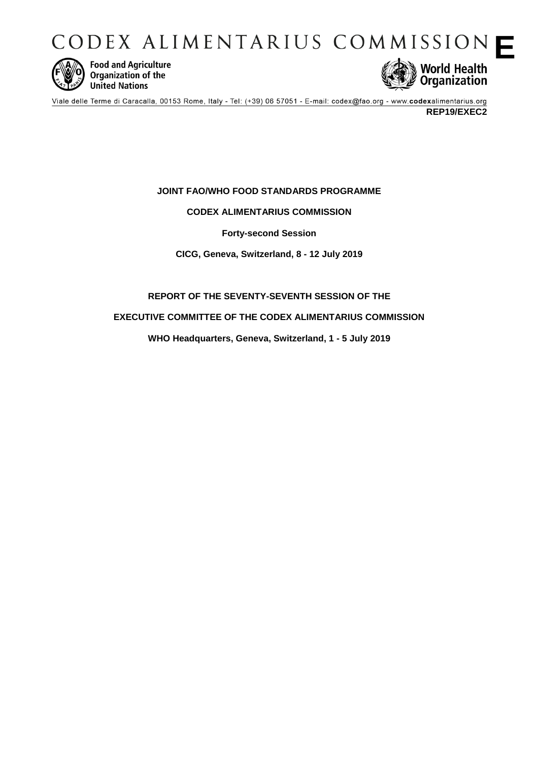CODEX ALIMENTARIUS COMMISSION



**Food and Agriculture** Organization of the **United Nations** 



Viale delle Terme di Caracalla, 00153 Rome, Italy - Tel: (+39) 06 57051 - E-mail: codex@fao.org - www.codexalimentarius.org **REP19/EXEC2**

# **JOINT FAO/WHO FOOD STANDARDS PROGRAMME**

# **CODEX ALIMENTARIUS COMMISSION**

**Forty-second Session**

**CICG, Geneva, Switzerland, 8 - 12 July 2019**

# **REPORT OF THE SEVENTY-SEVENTH SESSION OF THE**

# **EXECUTIVE COMMITTEE OF THE CODEX ALIMENTARIUS COMMISSION**

**WHO Headquarters, Geneva, Switzerland, 1 - 5 July 2019**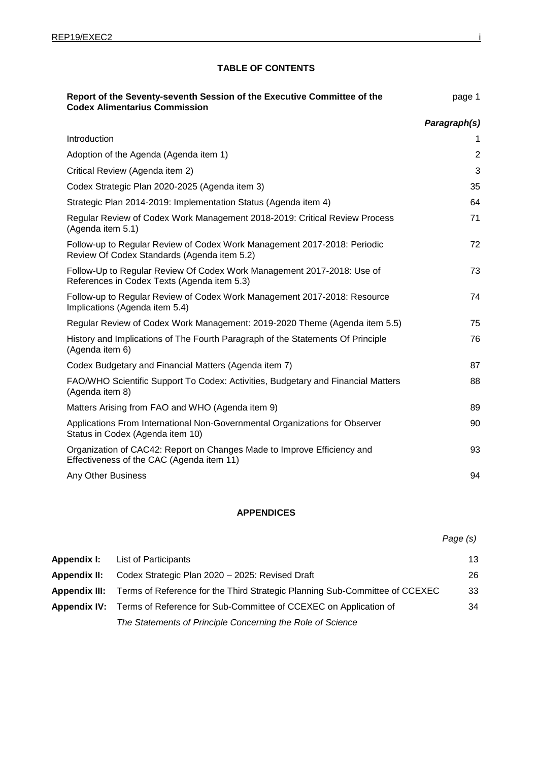# **TABLE OF CONTENTS**

| Report of the Seventy-seventh Session of the Executive Committee of the<br><b>Codex Alimentarius Commission</b>         | page 1         |
|-------------------------------------------------------------------------------------------------------------------------|----------------|
|                                                                                                                         | Paragraph(s)   |
| Introduction                                                                                                            | 1              |
| Adoption of the Agenda (Agenda item 1)                                                                                  | $\overline{2}$ |
| Critical Review (Agenda item 2)                                                                                         | 3              |
| Codex Strategic Plan 2020-2025 (Agenda item 3)                                                                          | 35             |
| Strategic Plan 2014-2019: Implementation Status (Agenda item 4)                                                         | 64             |
| Regular Review of Codex Work Management 2018-2019: Critical Review Process<br>(Agenda item 5.1)                         | 71             |
| Follow-up to Regular Review of Codex Work Management 2017-2018: Periodic<br>Review Of Codex Standards (Agenda item 5.2) | 72             |
| Follow-Up to Regular Review Of Codex Work Management 2017-2018: Use of<br>References in Codex Texts (Agenda item 5.3)   | 73             |
| Follow-up to Regular Review of Codex Work Management 2017-2018: Resource<br>Implications (Agenda item 5.4)              | 74             |
| Regular Review of Codex Work Management: 2019-2020 Theme (Agenda item 5.5)                                              | 75             |
| History and Implications of The Fourth Paragraph of the Statements Of Principle<br>(Agenda item 6)                      | 76             |
| Codex Budgetary and Financial Matters (Agenda item 7)                                                                   | 87             |
| FAO/WHO Scientific Support To Codex: Activities, Budgetary and Financial Matters<br>(Agenda item 8)                     | 88             |
| Matters Arising from FAO and WHO (Agenda item 9)                                                                        | 89             |
| Applications From International Non-Governmental Organizations for Observer<br>Status in Codex (Agenda item 10)         | 90             |
| Organization of CAC42: Report on Changes Made to Improve Efficiency and<br>Effectiveness of the CAC (Agenda item 11)    | 93             |
| Any Other Business                                                                                                      | 94             |

# **APPENDICES**

*Page (s)*

| Appendix I:  | List of Participants                                                                             | 13 |
|--------------|--------------------------------------------------------------------------------------------------|----|
| Appendix II: | Codex Strategic Plan 2020 - 2025: Revised Draft                                                  | 26 |
|              | <b>Appendix III:</b> Terms of Reference for the Third Strategic Planning Sub-Committee of CCEXEC | 33 |
|              | Appendix IV: Terms of Reference for Sub-Committee of CCEXEC on Application of                    | 34 |
|              | The Statements of Principle Concerning the Role of Science                                       |    |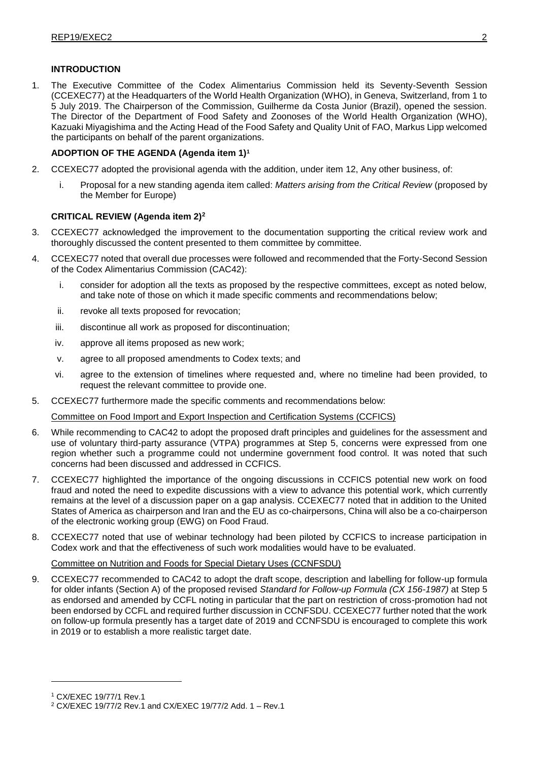# **INTRODUCTION**

1. The Executive Committee of the Codex Alimentarius Commission held its Seventy-Seventh Session (CCEXEC77) at the Headquarters of the World Health Organization (WHO), in Geneva, Switzerland, from 1 to 5 July 2019. The Chairperson of the Commission, Guilherme da Costa Junior (Brazil), opened the session. The Director of the Department of Food Safety and Zoonoses of the World Health Organization (WHO), Kazuaki Miyagishima and the Acting Head of the Food Safety and Quality Unit of FAO, Markus Lipp welcomed the participants on behalf of the parent organizations.

# **ADOPTION OF THE AGENDA (Agenda item 1)<sup>1</sup>**

- 2. CCEXEC77 adopted the provisional agenda with the addition, under item 12, Any other business, of:
	- i. Proposal for a new standing agenda item called: *Matters arising from the Critical Review* (proposed by the Member for Europe)

# **CRITICAL REVIEW (Agenda item 2)<sup>2</sup>**

- 3. CCEXEC77 acknowledged the improvement to the documentation supporting the critical review work and thoroughly discussed the content presented to them committee by committee.
- 4. CCEXEC77 noted that overall due processes were followed and recommended that the Forty-Second Session of the Codex Alimentarius Commission (CAC42):
	- i. consider for adoption all the texts as proposed by the respective committees, except as noted below, and take note of those on which it made specific comments and recommendations below;
	- ii. revoke all texts proposed for revocation;
	- iii. discontinue all work as proposed for discontinuation;
	- iv. approve all items proposed as new work;
	- v. agree to all proposed amendments to Codex texts; and
	- vi. agree to the extension of timelines where requested and, where no timeline had been provided, to request the relevant committee to provide one.
- 5. CCEXEC77 furthermore made the specific comments and recommendations below:

Committee on Food Import and Export Inspection and Certification Systems (CCFICS)

- 6. While recommending to CAC42 to adopt the proposed draft principles and guidelines for the assessment and use of voluntary third-party assurance (VTPA) programmes at Step 5, concerns were expressed from one region whether such a programme could not undermine government food control. It was noted that such concerns had been discussed and addressed in CCFICS.
- 7. CCEXEC77 highlighted the importance of the ongoing discussions in CCFICS potential new work on food fraud and noted the need to expedite discussions with a view to advance this potential work, which currently remains at the level of a discussion paper on a gap analysis. CCEXEC77 noted that in addition to the United States of America as chairperson and Iran and the EU as co-chairpersons, China will also be a co-chairperson of the electronic working group (EWG) on Food Fraud.
- 8. CCEXEC77 noted that use of webinar technology had been piloted by CCFICS to increase participation in Codex work and that the effectiveness of such work modalities would have to be evaluated.

### Committee on Nutrition and Foods for Special Dietary Uses (CCNFSDU)

9. CCEXEC77 recommended to CAC42 to adopt the draft scope, description and labelling for follow-up formula for older infants (Section A) of the proposed revised *Standard for Follow-up Formula (CX 156-1987)* at Step 5 as endorsed and amended by CCFL noting in particular that the part on restriction of cross-promotion had not been endorsed by CCFL and required further discussion in CCNFSDU. CCEXEC77 further noted that the work on follow-up formula presently has a target date of 2019 and CCNFSDU is encouraged to complete this work in 2019 or to establish a more realistic target date.

<sup>1</sup> CX/EXEC 19/77/1 Rev.1

<sup>2</sup> CX/EXEC 19/77/2 Rev.1 and CX/EXEC 19/77/2 Add. 1 – Rev.1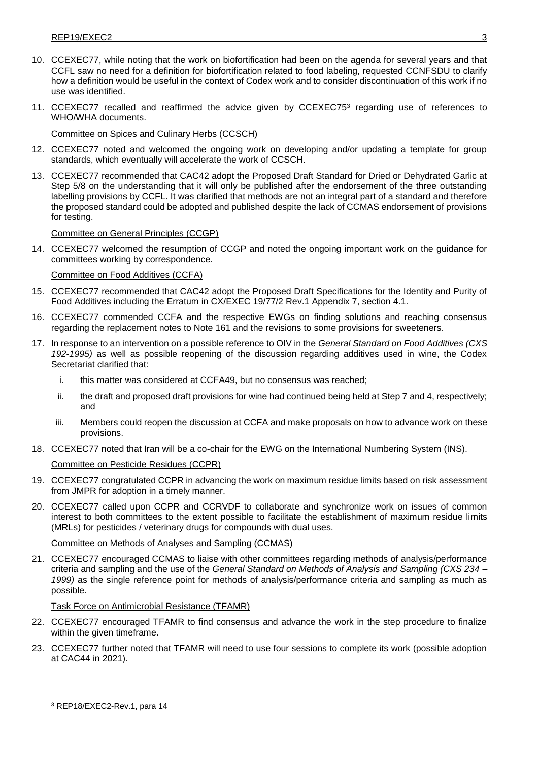- 10. CCEXEC77, while noting that the work on biofortification had been on the agenda for several years and that CCFL saw no need for a definition for biofortification related to food labeling, requested CCNFSDU to clarify how a definition would be useful in the context of Codex work and to consider discontinuation of this work if no use was identified.
- 11. CCEXEC77 recalled and reaffirmed the advice given by CCEXEC75<sup>3</sup> regarding use of references to WHO/WHA documents.

Committee on Spices and Culinary Herbs (CCSCH)

- 12. CCEXEC77 noted and welcomed the ongoing work on developing and/or updating a template for group standards, which eventually will accelerate the work of CCSCH.
- 13. CCEXEC77 recommended that CAC42 adopt the Proposed Draft Standard for Dried or Dehydrated Garlic at Step 5/8 on the understanding that it will only be published after the endorsement of the three outstanding labelling provisions by CCFL. It was clarified that methods are not an integral part of a standard and therefore the proposed standard could be adopted and published despite the lack of CCMAS endorsement of provisions for testing.

### Committee on General Principles (CCGP)

14. CCEXEC77 welcomed the resumption of CCGP and noted the ongoing important work on the guidance for committees working by correspondence.

# Committee on Food Additives (CCFA)

- 15. CCEXEC77 recommended that CAC42 adopt the Proposed Draft Specifications for the Identity and Purity of Food Additives including the Erratum in CX/EXEC 19/77/2 Rev.1 Appendix 7, section 4.1.
- 16. CCEXEC77 commended CCFA and the respective EWGs on finding solutions and reaching consensus regarding the replacement notes to Note 161 and the revisions to some provisions for sweeteners.
- 17. In response to an intervention on a possible reference to OIV in the *General Standard on Food Additives (CXS 192-1995)* as well as possible reopening of the discussion regarding additives used in wine, the Codex Secretariat clarified that:
	- i. this matter was considered at CCFA49, but no consensus was reached;
	- ii. the draft and proposed draft provisions for wine had continued being held at Step 7 and 4, respectively; and
	- iii. Members could reopen the discussion at CCFA and make proposals on how to advance work on these provisions.
- 18. CCEXEC77 noted that Iran will be a co-chair for the EWG on the International Numbering System (INS).

### Committee on Pesticide Residues (CCPR)

- 19. CCEXEC77 congratulated CCPR in advancing the work on maximum residue limits based on risk assessment from JMPR for adoption in a timely manner.
- 20. CCEXEC77 called upon CCPR and CCRVDF to collaborate and synchronize work on issues of common interest to both committees to the extent possible to facilitate the establishment of maximum residue limits (MRLs) for pesticides / veterinary drugs for compounds with dual uses.

# Committee on Methods of Analyses and Sampling (CCMAS)

21. CCEXEC77 encouraged CCMAS to liaise with other committees regarding methods of analysis/performance criteria and sampling and the use of the *General Standard on Methods of Analysis and Sampling (CXS 234 – 1999)* as the single reference point for methods of analysis/performance criteria and sampling as much as possible.

### Task Force on Antimicrobial Resistance (TFAMR)

- 22. CCEXEC77 encouraged TFAMR to find consensus and advance the work in the step procedure to finalize within the given timeframe.
- 23. CCEXEC77 further noted that TFAMR will need to use four sessions to complete its work (possible adoption at CAC44 in 2021).

<sup>3</sup> REP18/EXEC2-Rev.1, para 14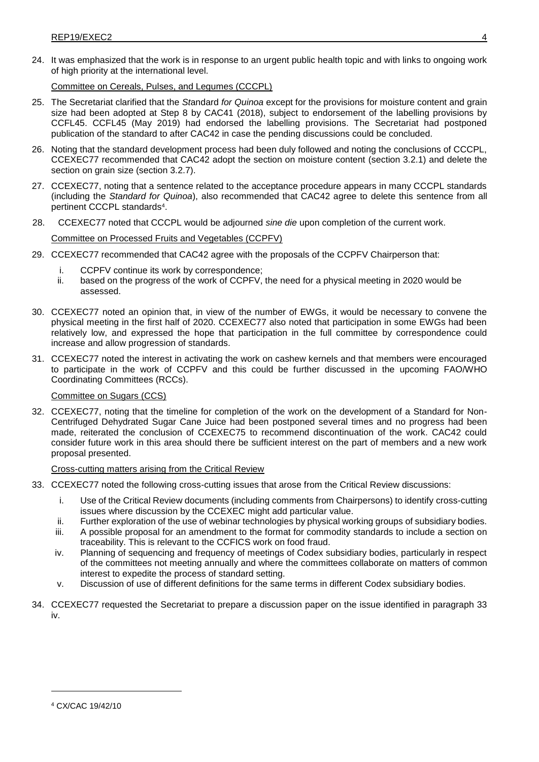24. It was emphasized that the work is in response to an urgent public health topic and with links to ongoing work of high priority at the international level.

Committee on Cereals, Pulses, and Legumes (CCCPL)

- 25. The Secretariat clarified that the *St*andard *for Quinoa* except for the provisions for moisture content and grain size had been adopted at Step 8 by CAC41 (2018), subject to endorsement of the labelling provisions by CCFL45. CCFL45 (May 2019) had endorsed the labelling provisions. The Secretariat had postponed publication of the standard to after CAC42 in case the pending discussions could be concluded.
- 26. Noting that the standard development process had been duly followed and noting the conclusions of CCCPL, CCEXEC77 recommended that CAC42 adopt the section on moisture content (section 3.2.1) and delete the section on grain size (section 3.2.7).
- 27. CCEXEC77, noting that a sentence related to the acceptance procedure appears in many CCCPL standards (including the *Standard for Quinoa*), also recommended that CAC42 agree to delete this sentence from all pertinent CCCPL standards<sup>4</sup>.
- 28. CCEXEC77 noted that CCCPL would be adjourned *sine die* upon completion of the current work. Committee on Processed Fruits and Vegetables (CCPFV)
- 29. CCEXEC77 recommended that CAC42 agree with the proposals of the CCPFV Chairperson that:
	- i. CCPFV continue its work by correspondence;
	- ii. based on the progress of the work of CCPFV, the need for a physical meeting in 2020 would be assessed.
- 30. CCEXEC77 noted an opinion that, in view of the number of EWGs, it would be necessary to convene the physical meeting in the first half of 2020. CCEXEC77 also noted that participation in some EWGs had been relatively low, and expressed the hope that participation in the full committee by correspondence could increase and allow progression of standards.
- 31. CCEXEC77 noted the interest in activating the work on cashew kernels and that members were encouraged to participate in the work of CCPFV and this could be further discussed in the upcoming FAO/WHO Coordinating Committees (RCCs).

### Committee on Sugars (CCS)

32. CCEXEC77, noting that the timeline for completion of the work on the development of a Standard for Non-Centrifuged Dehydrated Sugar Cane Juice had been postponed several times and no progress had been made, reiterated the conclusion of CCEXEC75 to recommend discontinuation of the work. CAC42 could consider future work in this area should there be sufficient interest on the part of members and a new work proposal presented.

### Cross-cutting matters arising from the Critical Review

- 33. CCEXEC77 noted the following cross-cutting issues that arose from the Critical Review discussions:
	- i. Use of the Critical Review documents (including comments from Chairpersons) to identify cross-cutting issues where discussion by the CCEXEC might add particular value.
	- ii. Further exploration of the use of webinar technologies by physical working groups of subsidiary bodies.
	- iii. A possible proposal for an amendment to the format for commodity standards to include a section on traceability. This is relevant to the CCFICS work on food fraud.
	- iv. Planning of sequencing and frequency of meetings of Codex subsidiary bodies, particularly in respect of the committees not meeting annually and where the committees collaborate on matters of common interest to expedite the process of standard setting.
	- v. Discussion of use of different definitions for the same terms in different Codex subsidiary bodies.
- 34. CCEXEC77 requested the Secretariat to prepare a discussion paper on the issue identified in paragraph 33 iv.

<sup>4</sup> CX/CAC 19/42/10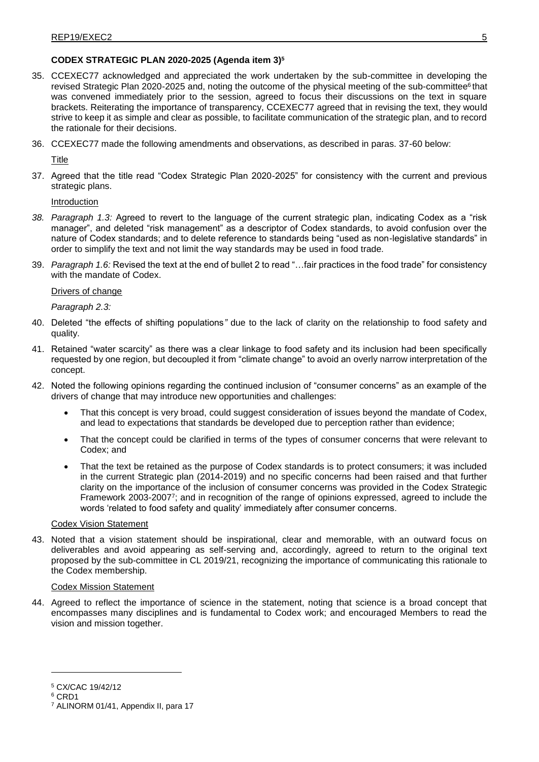# **CODEX STRATEGIC PLAN 2020-2025 (Agenda item 3)<sup>5</sup>**

- 35. CCEXEC77 acknowledged and appreciated the work undertaken by the sub-committee in developing the revised Strategic Plan 2020-2025 and, noting the outcome of the physical meeting of the sub-committee<sup>6</sup> that was convened immediately prior to the session, agreed to focus their discussions on the text in square brackets. Reiterating the importance of transparency, CCEXEC77 agreed that in revising the text, they would strive to keep it as simple and clear as possible, to facilitate communication of the strategic plan, and to record the rationale for their decisions.
- 36. CCEXEC77 made the following amendments and observations, as described in paras. 37-60 below:

Title

37. Agreed that the title read "Codex Strategic Plan 2020-2025" for consistency with the current and previous strategic plans.

Introduction

- *38. Paragraph 1.3:* Agreed to revert to the language of the current strategic plan, indicating Codex as a "risk manager", and deleted "risk management" as a descriptor of Codex standards, to avoid confusion over the nature of Codex standards; and to delete reference to standards being "used as non-legislative standards" in order to simplify the text and not limit the way standards may be used in food trade*.*
- 39. *Paragraph 1.6:* Revised the text at the end of bullet 2 to read "…fair practices in the food trade" for consistency with the mandate of Codex.

# Drivers of change

*Paragraph 2.3:*

- 40. Deleted "the effects of shifting populations*"* due to the lack of clarity on the relationship to food safety and quality.
- 41. Retained "water scarcity" as there was a clear linkage to food safety and its inclusion had been specifically requested by one region, but decoupled it from "climate change" to avoid an overly narrow interpretation of the concept.
- 42. Noted the following opinions regarding the continued inclusion of "consumer concerns" as an example of the drivers of change that may introduce new opportunities and challenges:
	- That this concept is very broad, could suggest consideration of issues beyond the mandate of Codex, and lead to expectations that standards be developed due to perception rather than evidence;
	- That the concept could be clarified in terms of the types of consumer concerns that were relevant to Codex; and
	- That the text be retained as the purpose of Codex standards is to protect consumers; it was included in the current Strategic plan (2014-2019) and no specific concerns had been raised and that further clarity on the importance of the inclusion of consumer concerns was provided in the Codex Strategic Framework 2003-2007<sup>7</sup> ; and in recognition of the range of opinions expressed, agreed to include the words 'related to food safety and quality' immediately after consumer concerns.

### Codex Vision Statement

43. Noted that a vision statement should be inspirational, clear and memorable, with an outward focus on deliverables and avoid appearing as self-serving and, accordingly, agreed to return to the original text proposed by the sub-committee in CL 2019/21, recognizing the importance of communicating this rationale to the Codex membership.

### Codex Mission Statement

44. Agreed to reflect the importance of science in the statement, noting that science is a broad concept that encompasses many disciplines and is fundamental to Codex work; and encouraged Members to read the vision and mission together.

<sup>5</sup> CX/CAC 19/42/12

<sup>6</sup> CRD1

<sup>7</sup> ALINORM 01/41, Appendix II, para 17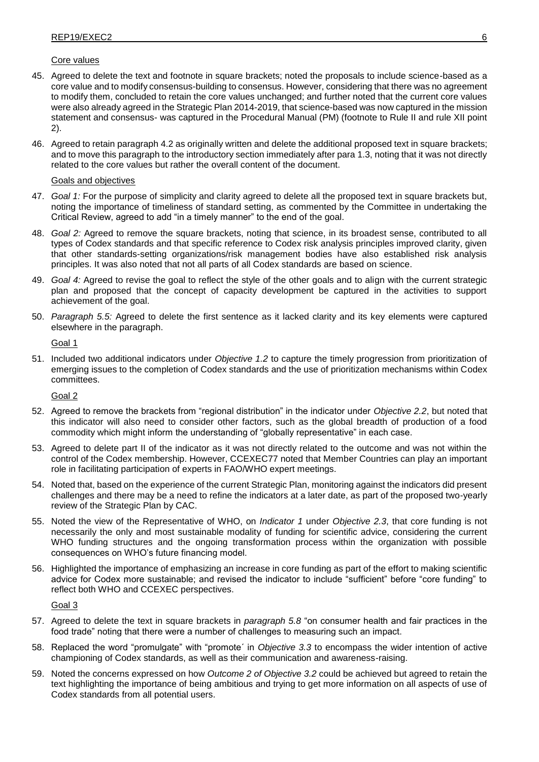### Core values

- 45. Agreed to delete the text and footnote in square brackets; noted the proposals to include science-based as a core value and to modify consensus-building to consensus. However, considering that there was no agreement to modify them, concluded to retain the core values unchanged; and further noted that the current core values were also already agreed in the Strategic Plan 2014-2019, that science-based was now captured in the mission statement and consensus- was captured in the Procedural Manual (PM) (footnote to Rule II and rule XII point 2).
- 46. Agreed to retain paragraph 4.2 as originally written and delete the additional proposed text in square brackets; and to move this paragraph to the introductory section immediately after para 1.3, noting that it was not directly related to the core values but rather the overall content of the document.

### Goals and objectives

- 47. *Goal 1:* For the purpose of simplicity and clarity agreed to delete all the proposed text in square brackets but, noting the importance of timeliness of standard setting, as commented by the Committee in undertaking the Critical Review, agreed to add "in a timely manner" to the end of the goal.
- 48. *Goal 2:* Agreed to remove the square brackets, noting that science, in its broadest sense, contributed to all types of Codex standards and that specific reference to Codex risk analysis principles improved clarity, given that other standards-setting organizations/risk management bodies have also established risk analysis principles. It was also noted that not all parts of all Codex standards are based on science.
- 49. *Goal 4:* Agreed to revise the goal to reflect the style of the other goals and to align with the current strategic plan and proposed that the concept of capacity development be captured in the activities to support achievement of the goal.
- 50. *Paragraph 5.5:* Agreed to delete the first sentence as it lacked clarity and its key elements were captured elsewhere in the paragraph.

Goal 1

51. Included two additional indicators under *Objective 1.2* to capture the timely progression from prioritization of emerging issues to the completion of Codex standards and the use of prioritization mechanisms within Codex committees.

Goal 2

- 52. Agreed to remove the brackets from "regional distribution" in the indicator under *Objective 2.2*, but noted that this indicator will also need to consider other factors, such as the global breadth of production of a food commodity which might inform the understanding of "globally representative" in each case.
- 53. Agreed to delete part II of the indicator as it was not directly related to the outcome and was not within the control of the Codex membership. However, CCEXEC77 noted that Member Countries can play an important role in facilitating participation of experts in FAO/WHO expert meetings.
- 54. Noted that, based on the experience of the current Strategic Plan, monitoring against the indicators did present challenges and there may be a need to refine the indicators at a later date, as part of the proposed two-yearly review of the Strategic Plan by CAC.
- 55. Noted the view of the Representative of WHO, on *Indicator 1* under *Objective 2.3*, that core funding is not necessarily the only and most sustainable modality of funding for scientific advice, considering the current WHO funding structures and the ongoing transformation process within the organization with possible consequences on WHO's future financing model.
- 56. Highlighted the importance of emphasizing an increase in core funding as part of the effort to making scientific advice for Codex more sustainable; and revised the indicator to include "sufficient" before "core funding" to reflect both WHO and CCEXEC perspectives.

Goal 3

- 57. Agreed to delete the text in square brackets in *paragraph 5.8* "on consumer health and fair practices in the food trade" noting that there were a number of challenges to measuring such an impact.
- 58. Replaced the word "promulgate" with "promote´ in *Objective 3.3* to encompass the wider intention of active championing of Codex standards, as well as their communication and awareness-raising.
- 59. Noted the concerns expressed on how *Outcome 2 of Objective 3.2* could be achieved but agreed to retain the text highlighting the importance of being ambitious and trying to get more information on all aspects of use of Codex standards from all potential users.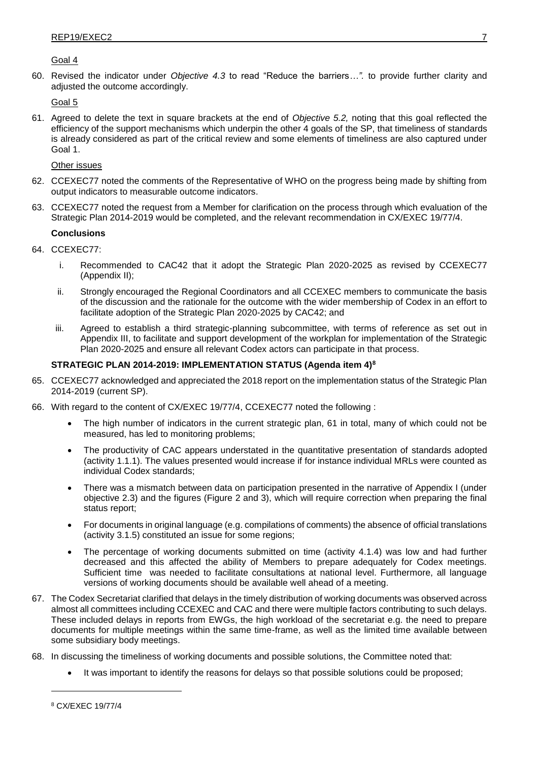# Goal 4

60. Revised the indicator under *Objective 4.3* to read "Reduce the barriers*…".* to provide further clarity and adjusted the outcome accordingly.

# Goal 5

61. Agreed to delete the text in square brackets at the end of *Objective 5.2,* noting that this goal reflected the efficiency of the support mechanisms which underpin the other 4 goals of the SP, that timeliness of standards is already considered as part of the critical review and some elements of timeliness are also captured under Goal 1.

### Other issues

- 62. CCEXEC77 noted the comments of the Representative of WHO on the progress being made by shifting from output indicators to measurable outcome indicators.
- 63. CCEXEC77 noted the request from a Member for clarification on the process through which evaluation of the Strategic Plan 2014-2019 would be completed, and the relevant recommendation in CX/EXEC 19/77/4.

# **Conclusions**

- 64. CCEXEC77:
	- i. Recommended to CAC42 that it adopt the Strategic Plan 2020-2025 as revised by CCEXEC77 (Appendix II);
	- ii. Strongly encouraged the Regional Coordinators and all CCEXEC members to communicate the basis of the discussion and the rationale for the outcome with the wider membership of Codex in an effort to facilitate adoption of the Strategic Plan 2020-2025 by CAC42; and
	- iii. Agreed to establish a third strategic-planning subcommittee, with terms of reference as set out in Appendix III, to facilitate and support development of the workplan for implementation of the Strategic Plan 2020-2025 and ensure all relevant Codex actors can participate in that process.

# **STRATEGIC PLAN 2014-2019: IMPLEMENTATION STATUS (Agenda item 4)<sup>8</sup>**

- 65. CCEXEC77 acknowledged and appreciated the 2018 report on the implementation status of the Strategic Plan 2014-2019 (current SP).
- 66. With regard to the content of CX/EXEC 19/77/4, CCEXEC77 noted the following :
	- The high number of indicators in the current strategic plan, 61 in total, many of which could not be measured, has led to monitoring problems;
	- The productivity of CAC appears understated in the quantitative presentation of standards adopted (activity 1.1.1). The values presented would increase if for instance individual MRLs were counted as individual Codex standards;
	- There was a mismatch between data on participation presented in the narrative of Appendix I (under objective 2.3) and the figures (Figure 2 and 3), which will require correction when preparing the final status report;
	- For documents in original language (e.g. compilations of comments) the absence of official translations (activity 3.1.5) constituted an issue for some regions;
	- The percentage of working documents submitted on time (activity 4.1.4) was low and had further decreased and this affected the ability of Members to prepare adequately for Codex meetings. Sufficient time was needed to facilitate consultations at national level. Furthermore, all language versions of working documents should be available well ahead of a meeting.
- 67. The Codex Secretariat clarified that delays in the timely distribution of working documents was observed across almost all committees including CCEXEC and CAC and there were multiple factors contributing to such delays. These included delays in reports from EWGs, the high workload of the secretariat e.g. the need to prepare documents for multiple meetings within the same time-frame, as well as the limited time available between some subsidiary body meetings.
- 68. In discussing the timeliness of working documents and possible solutions, the Committee noted that:
	- It was important to identify the reasons for delays so that possible solutions could be proposed;

<sup>8</sup> CX/EXEC 19/77/4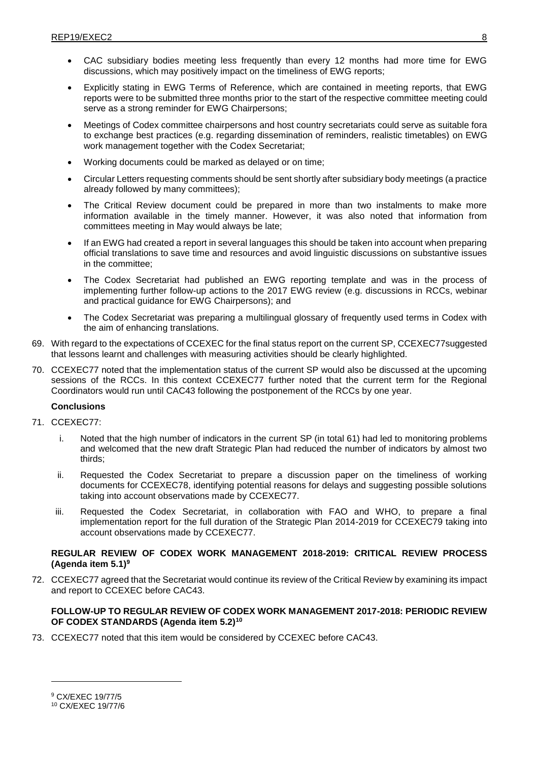- CAC subsidiary bodies meeting less frequently than every 12 months had more time for EWG discussions, which may positively impact on the timeliness of EWG reports;
- Explicitly stating in EWG Terms of Reference, which are contained in meeting reports, that EWG reports were to be submitted three months prior to the start of the respective committee meeting could serve as a strong reminder for EWG Chairpersons;
- Meetings of Codex committee chairpersons and host country secretariats could serve as suitable fora to exchange best practices (e.g. regarding dissemination of reminders, realistic timetables) on EWG work management together with the Codex Secretariat;
- Working documents could be marked as delayed or on time;
- Circular Letters requesting comments should be sent shortly after subsidiary body meetings (a practice already followed by many committees);
- The Critical Review document could be prepared in more than two instalments to make more information available in the timely manner. However, it was also noted that information from committees meeting in May would always be late;
- If an EWG had created a report in several languages this should be taken into account when preparing official translations to save time and resources and avoid linguistic discussions on substantive issues in the committee;
- The Codex Secretariat had published an EWG reporting template and was in the process of implementing further follow-up actions to the 2017 EWG review (e.g. discussions in RCCs, webinar and practical guidance for EWG Chairpersons); and
- The Codex Secretariat was preparing a multilingual glossary of frequently used terms in Codex with the aim of enhancing translations.
- 69. With regard to the expectations of CCEXEC for the final status report on the current SP, CCEXEC77suggested that lessons learnt and challenges with measuring activities should be clearly highlighted.
- 70. CCEXEC77 noted that the implementation status of the current SP would also be discussed at the upcoming sessions of the RCCs. In this context CCEXEC77 further noted that the current term for the Regional Coordinators would run until CAC43 following the postponement of the RCCs by one year.

# **Conclusions**

- 71. CCEXEC77:
	- i. Noted that the high number of indicators in the current SP (in total 61) had led to monitoring problems and welcomed that the new draft Strategic Plan had reduced the number of indicators by almost two thirds;
	- ii. Requested the Codex Secretariat to prepare a discussion paper on the timeliness of working documents for CCEXEC78, identifying potential reasons for delays and suggesting possible solutions taking into account observations made by CCEXEC77.
	- iii. Requested the Codex Secretariat, in collaboration with FAO and WHO, to prepare a final implementation report for the full duration of the Strategic Plan 2014-2019 for CCEXEC79 taking into account observations made by CCEXEC77.

# **REGULAR REVIEW OF CODEX WORK MANAGEMENT 2018-2019: CRITICAL REVIEW PROCESS (Agenda item 5.1)<sup>9</sup>**

72. CCEXEC77 agreed that the Secretariat would continue its review of the Critical Review by examining its impact and report to CCEXEC before CAC43.

# **FOLLOW-UP TO REGULAR REVIEW OF CODEX WORK MANAGEMENT 2017-2018: PERIODIC REVIEW OF CODEX STANDARDS (Agenda item 5.2)<sup>10</sup>**

73. CCEXEC77 noted that this item would be considered by CCEXEC before CAC43.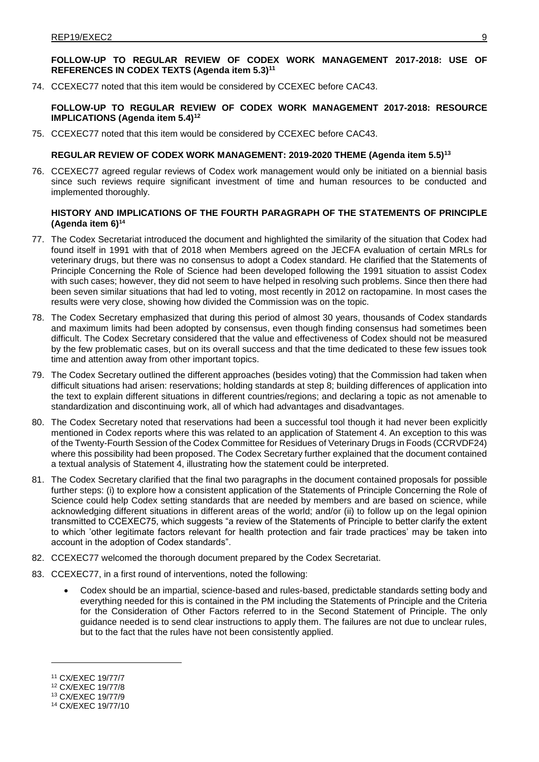# **FOLLOW-UP TO REGULAR REVIEW OF CODEX WORK MANAGEMENT 2017-2018: USE OF REFERENCES IN CODEX TEXTS (Agenda item 5.3)<sup>11</sup>**

74. CCEXEC77 noted that this item would be considered by CCEXEC before CAC43.

### **FOLLOW-UP TO REGULAR REVIEW OF CODEX WORK MANAGEMENT 2017-2018: RESOURCE IMPLICATIONS (Agenda item 5.4)<sup>12</sup>**

75. CCEXEC77 noted that this item would be considered by CCEXEC before CAC43.

#### **REGULAR REVIEW OF CODEX WORK MANAGEMENT: 2019-2020 THEME (Agenda item 5.5)<sup>13</sup>**

76. CCEXEC77 agreed regular reviews of Codex work management would only be initiated on a biennial basis since such reviews require significant investment of time and human resources to be conducted and implemented thoroughly.

### **HISTORY AND IMPLICATIONS OF THE FOURTH PARAGRAPH OF THE STATEMENTS OF PRINCIPLE (Agenda item 6)<sup>14</sup>**

- 77. The Codex Secretariat introduced the document and highlighted the similarity of the situation that Codex had found itself in 1991 with that of 2018 when Members agreed on the JECFA evaluation of certain MRLs for veterinary drugs, but there was no consensus to adopt a Codex standard. He clarified that the Statements of Principle Concerning the Role of Science had been developed following the 1991 situation to assist Codex with such cases; however, they did not seem to have helped in resolving such problems. Since then there had been seven similar situations that had led to voting, most recently in 2012 on ractopamine. In most cases the results were very close, showing how divided the Commission was on the topic.
- 78. The Codex Secretary emphasized that during this period of almost 30 years, thousands of Codex standards and maximum limits had been adopted by consensus, even though finding consensus had sometimes been difficult. The Codex Secretary considered that the value and effectiveness of Codex should not be measured by the few problematic cases, but on its overall success and that the time dedicated to these few issues took time and attention away from other important topics.
- 79. The Codex Secretary outlined the different approaches (besides voting) that the Commission had taken when difficult situations had arisen: reservations; holding standards at step 8; building differences of application into the text to explain different situations in different countries/regions; and declaring a topic as not amenable to standardization and discontinuing work, all of which had advantages and disadvantages.
- 80. The Codex Secretary noted that reservations had been a successful tool though it had never been explicitly mentioned in Codex reports where this was related to an application of Statement 4. An exception to this was of the Twenty-Fourth Session of the Codex Committee for Residues of Veterinary Drugs in Foods (CCRVDF24) where this possibility had been proposed. The Codex Secretary further explained that the document contained a textual analysis of Statement 4, illustrating how the statement could be interpreted.
- 81. The Codex Secretary clarified that the final two paragraphs in the document contained proposals for possible further steps: (i) to explore how a consistent application of the Statements of Principle Concerning the Role of Science could help Codex setting standards that are needed by members and are based on science, while acknowledging different situations in different areas of the world; and/or (ii) to follow up on the legal opinion transmitted to CCEXEC75, which suggests "a review of the Statements of Principle to better clarify the extent to which 'other legitimate factors relevant for health protection and fair trade practices' may be taken into account in the adoption of Codex standards".
- 82. CCEXEC77 welcomed the thorough document prepared by the Codex Secretariat.
- 83. CCEXEC77, in a first round of interventions, noted the following:
	- Codex should be an impartial, science-based and rules-based, predictable standards setting body and everything needed for this is contained in the PM including the Statements of Principle and the Criteria for the Consideration of Other Factors referred to in the Second Statement of Principle. The only guidance needed is to send clear instructions to apply them. The failures are not due to unclear rules, but to the fact that the rules have not been consistently applied.

<sup>11</sup> CX/EXEC 19/77/7

<sup>12</sup> CX/EXEC 19/77/8

<sup>13</sup> CX/EXEC 19/77/9

<sup>14</sup> CX/EXEC 19/77/10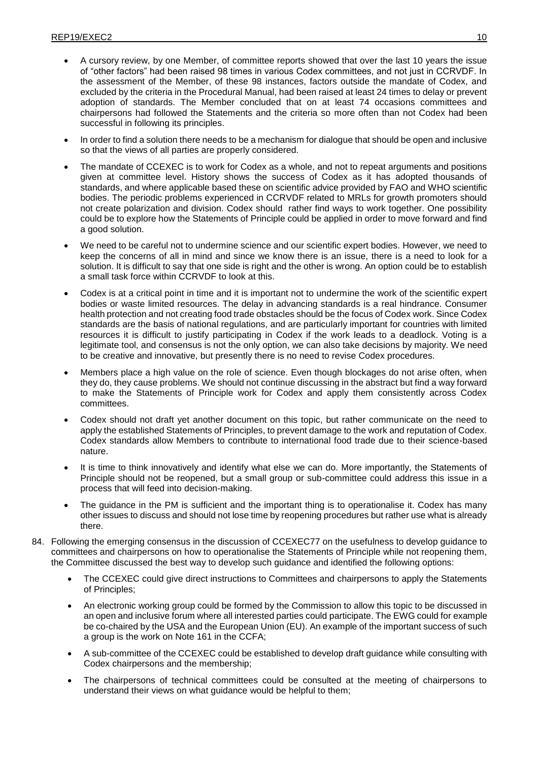- A cursory review, by one Member, of committee reports showed that over the last 10 years the issue of "other factors" had been raised 98 times in various Codex committees, and not just in CCRVDF. In the assessment of the Member, of these 98 instances, factors outside the mandate of Codex, and excluded by the criteria in the Procedural Manual, had been raised at least 24 times to delay or prevent adoption of standards. The Member concluded that on at least 74 occasions committees and chairpersons had followed the Statements and the criteria so more often than not Codex had been successful in following its principles.
- In order to find a solution there needs to be a mechanism for dialogue that should be open and inclusive so that the views of all parties are properly considered.
- The mandate of CCEXEC is to work for Codex as a whole, and not to repeat arguments and positions given at committee level. History shows the success of Codex as it has adopted thousands of standards, and where applicable based these on scientific advice provided by FAO and WHO scientific bodies. The periodic problems experienced in CCRVDF related to MRLs for growth promoters should not create polarization and division. Codex should rather find ways to work together. One possibility could be to explore how the Statements of Principle could be applied in order to move forward and find a good solution.
- We need to be careful not to undermine science and our scientific expert bodies. However, we need to keep the concerns of all in mind and since we know there is an issue, there is a need to look for a solution. It is difficult to say that one side is right and the other is wrong. An option could be to establish a small task force within CCRVDF to look at this.
- Codex is at a critical point in time and it is important not to undermine the work of the scientific expert bodies or waste limited resources. The delay in advancing standards is a real hindrance. Consumer health protection and not creating food trade obstacles should be the focus of Codex work. Since Codex standards are the basis of national regulations, and are particularly important for countries with limited resources it is difficult to justify participating in Codex if the work leads to a deadlock. Voting is a legitimate tool, and consensus is not the only option, we can also take decisions by majority. We need to be creative and innovative, but presently there is no need to revise Codex procedures.
- Members place a high value on the role of science. Even though blockages do not arise often, when they do, they cause problems. We should not continue discussing in the abstract but find a way forward to make the Statements of Principle work for Codex and apply them consistently across Codex committees.
- Codex should not draft yet another document on this topic, but rather communicate on the need to apply the established Statements of Principles, to prevent damage to the work and reputation of Codex. Codex standards allow Members to contribute to international food trade due to their science-based nature.
- It is time to think innovatively and identify what else we can do. More importantly, the Statements of Principle should not be reopened, but a small group or sub-committee could address this issue in a process that will feed into decision-making.
- The guidance in the PM is sufficient and the important thing is to operationalise it. Codex has many other issues to discuss and should not lose time by reopening procedures but rather use what is already there.
- 84. Following the emerging consensus in the discussion of CCEXEC77 on the usefulness to develop guidance to committees and chairpersons on how to operationalise the Statements of Principle while not reopening them, the Committee discussed the best way to develop such guidance and identified the following options:
	- The CCEXEC could give direct instructions to Committees and chairpersons to apply the Statements of Principles;
	- An electronic working group could be formed by the Commission to allow this topic to be discussed in an open and inclusive forum where all interested parties could participate. The EWG could for example be co-chaired by the USA and the European Union (EU). An example of the important success of such a group is the work on Note 161 in the CCFA;
	- A sub-committee of the CCEXEC could be established to develop draft guidance while consulting with Codex chairpersons and the membership;
	- The chairpersons of technical committees could be consulted at the meeting of chairpersons to understand their views on what guidance would be helpful to them;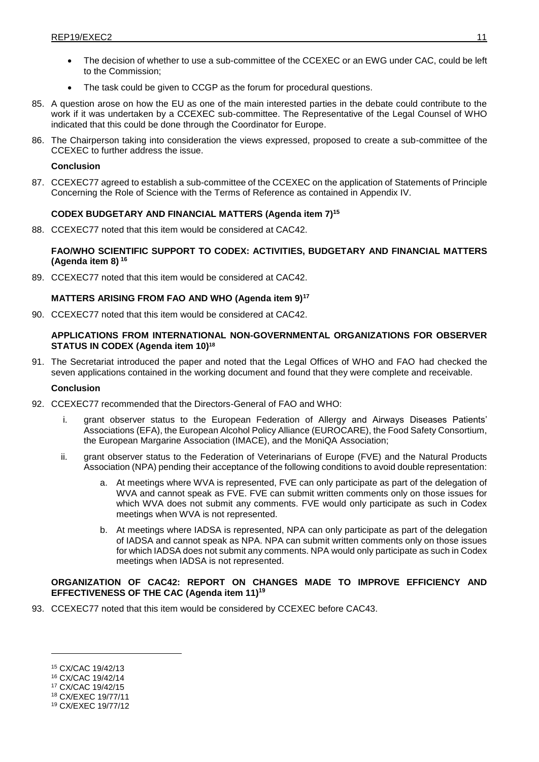- The decision of whether to use a sub-committee of the CCEXEC or an EWG under CAC, could be left to the Commission;
- The task could be given to CCGP as the forum for procedural questions.
- 85. A question arose on how the EU as one of the main interested parties in the debate could contribute to the work if it was undertaken by a CCEXEC sub-committee. The Representative of the Legal Counsel of WHO indicated that this could be done through the Coordinator for Europe.
- 86. The Chairperson taking into consideration the views expressed, proposed to create a sub-committee of the CCEXEC to further address the issue.

# **Conclusion**

87. CCEXEC77 agreed to establish a sub-committee of the CCEXEC on the application of Statements of Principle Concerning the Role of Science with the Terms of Reference as contained in Appendix IV.

# **CODEX BUDGETARY AND FINANCIAL MATTERS (Agenda item 7)<sup>15</sup>**

88. CCEXEC77 noted that this item would be considered at CAC42.

# **FAO/WHO SCIENTIFIC SUPPORT TO CODEX: ACTIVITIES, BUDGETARY AND FINANCIAL MATTERS (Agenda item 8) <sup>16</sup>**

89. CCEXEC77 noted that this item would be considered at CAC42.

# **MATTERS ARISING FROM FAO AND WHO (Agenda item 9)<sup>17</sup>**

90. CCEXEC77 noted that this item would be considered at CAC42.

# **APPLICATIONS FROM INTERNATIONAL NON-GOVERNMENTAL ORGANIZATIONS FOR OBSERVER STATUS IN CODEX (Agenda item 10)<sup>18</sup>**

91. The Secretariat introduced the paper and noted that the Legal Offices of WHO and FAO had checked the seven applications contained in the working document and found that they were complete and receivable.

### **Conclusion**

- 92. CCEXEC77 recommended that the Directors-General of FAO and WHO:
	- i. grant observer status to the European Federation of Allergy and Airways Diseases Patients' Associations (EFA), the European Alcohol Policy Alliance (EUROCARE), the Food Safety Consortium, the European Margarine Association (IMACE), and the MoniQA Association;
	- ii. grant observer status to the Federation of Veterinarians of Europe (FVE) and the Natural Products Association (NPA) pending their acceptance of the following conditions to avoid double representation:
		- a. At meetings where WVA is represented, FVE can only participate as part of the delegation of WVA and cannot speak as FVE. FVE can submit written comments only on those issues for which WVA does not submit any comments. FVE would only participate as such in Codex meetings when WVA is not represented.
		- b. At meetings where IADSA is represented, NPA can only participate as part of the delegation of IADSA and cannot speak as NPA. NPA can submit written comments only on those issues for which IADSA does not submit any comments. NPA would only participate as such in Codex meetings when IADSA is not represented.

# **ORGANIZATION OF CAC42: REPORT ON CHANGES MADE TO IMPROVE EFFICIENCY AND EFFECTIVENESS OF THE CAC (Agenda item 11)<sup>19</sup>**

93. CCEXEC77 noted that this item would be considered by CCEXEC before CAC43.

<sup>15</sup> CX/CAC 19/42/13

<sup>16</sup> CX/CAC 19/42/14

<sup>17</sup> CX/CAC 19/42/15

<sup>18</sup> CX/EXEC 19/77/11

<sup>19</sup> CX/EXEC 19/77/12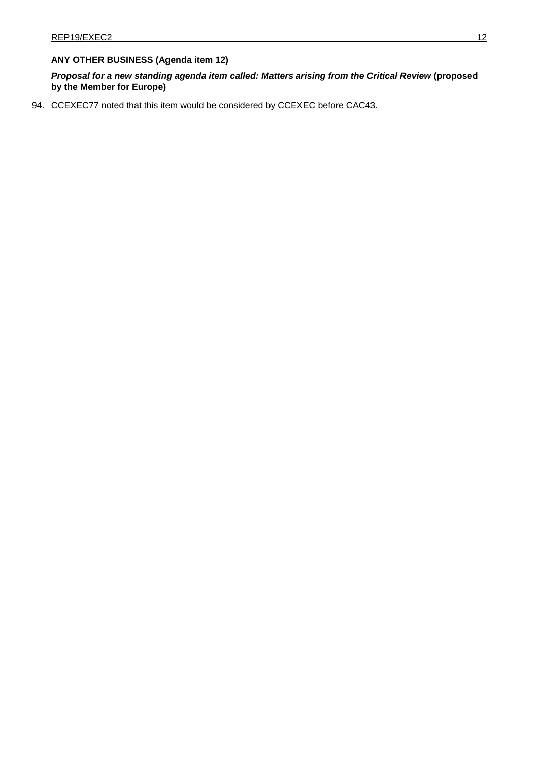# **ANY OTHER BUSINESS (Agenda item 12)**

*Proposal for a new standing agenda item called: Matters arising from the Critical Review* **(proposed by the Member for Europe)**

94. CCEXEC77 noted that this item would be considered by CCEXEC before CAC43.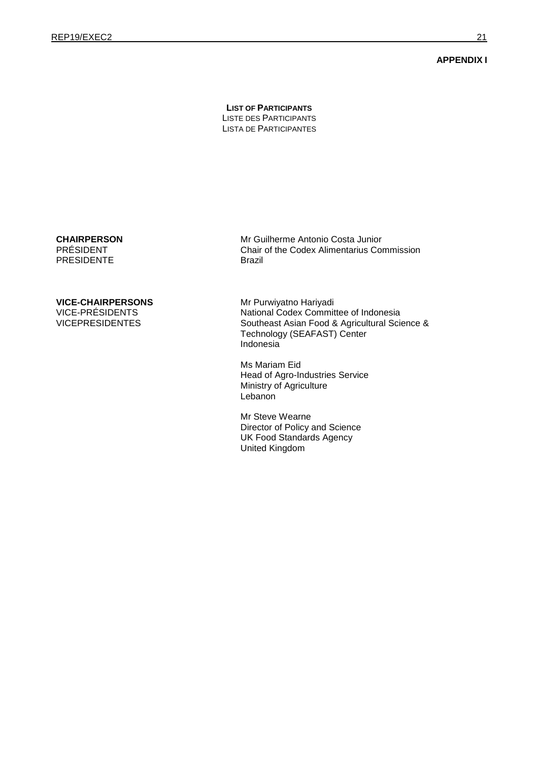#### **APPENDIX I**

**LIST OF PARTICIPANTS** LISTE DES PARTICIPANTS LISTA DE PARTICIPANTES

### **CHAIRPERSON** PRÉSIDENT

PRESIDENTE

# **VICE-CHAIRPERSONS**

VICE-PRÉSIDENTS VICEPRESIDENTES Mr Guilherme Antonio Costa Junior Chair of the Codex Alimentarius Commission Brazil

Mr Purwiyatno Hariyadi National Codex Committee of Indonesia Southeast Asian Food & Agricultural Science & Technology (SEAFAST) Center Indonesia

Ms Mariam Eid Head of Agro-Industries Service Ministry of Agriculture **Lebanon** 

Mr Steve Wearne Director of Policy and Science UK Food Standards Agency United Kingdom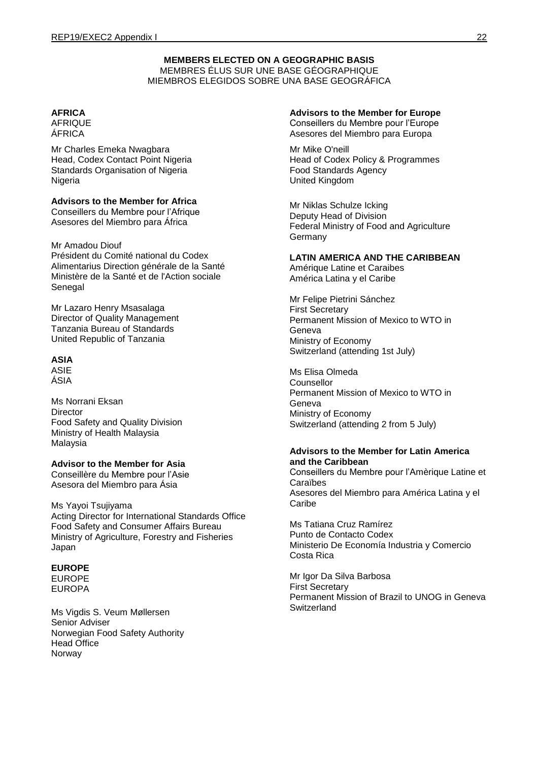# **MEMBERS ELECTED ON A GEOGRAPHIC BASIS** MEMBRES ÉLUS SUR UNE BASE GÉOGRAPHIQUE MIEMBROS ELEGIDOS SOBRE UNA BASE GEOGRÁFICA

# **AFRICA**

AFRIQUE ÁFRICA

Mr Charles Emeka Nwagbara Head, Codex Contact Point Nigeria Standards Organisation of Nigeria Nigeria

# **Advisors to the Member for Africa**

Conseillers du Membre pour l'Afrique Asesores del Miembro para África

# Mr Amadou Diouf

Président du Comité national du Codex Alimentarius Direction générale de la Santé Ministère de la Santé et de l'Action sociale Senegal

Mr Lazaro Henry Msasalaga Director of Quality Management Tanzania Bureau of Standards United Republic of Tanzania

# **ASIA**

ASIE ÁSIA

Ms Norrani Eksan **Director** Food Safety and Quality Division Ministry of Health Malaysia Malaysia

# **Advisor to the Member for Asia**

Conseillère du Membre pour l'Asie Asesora del Miembro para Ásia

### Ms Yayoi Tsujiyama Acting Director for International Standards Office Food Safety and Consumer Affairs Bureau Ministry of Agriculture, Forestry and Fisheries Japan

# **EUROPE**

EUROPE EUROPA

Ms Vigdis S. Veum Møllersen Senior Adviser Norwegian Food Safety Authority Head Office Norway

# **Advisors to the Member for Europe**

Conseillers du Membre pour l'Europe Asesores del Miembro para Europa

Mr Mike O'neill Head of Codex Policy & Programmes Food Standards Agency United Kingdom

Mr Niklas Schulze Icking Deputy Head of Division Federal Ministry of Food and Agriculture Germany

# **LATIN AMERICA AND THE CARIBBEAN**

Amérique Latine et Caraibes América Latina y el Caribe

Mr Felipe Pietrini Sánchez First Secretary Permanent Mission of Mexico to WTO in Geneva Ministry of Economy Switzerland (attending 1st July)

Ms Elisa Olmeda Counsellor Permanent Mission of Mexico to WTO in Geneva Ministry of Economy Switzerland (attending 2 from 5 July)

# **Advisors to the Member for Latin America and the Caribbean**

Conseillers du Membre pour l'Amèrique Latine et Caraïbes Asesores del Miembro para América Latina y el Caribe

Ms Tatiana Cruz Ramírez Punto de Contacto Codex Ministerio De Economía Industria y Comercio Costa Rica

Mr Igor Da Silva Barbosa First Secretary Permanent Mission of Brazil to UNOG in Geneva **Switzerland**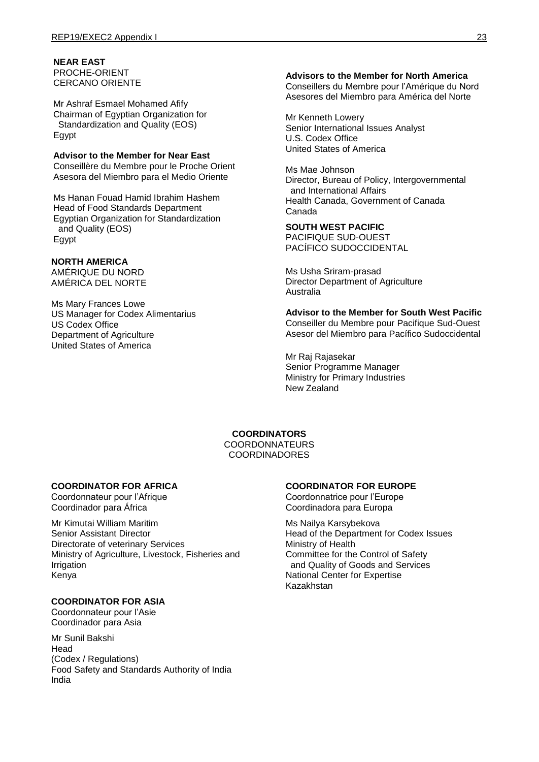**NEAR EAST**  PROCHE-ORIENT CERCANO ORIENTE

Mr Ashraf Esmael Mohamed Afify Chairman of Egyptian Organization for Standardization and Quality (EOS) Egypt

#### **Advisor to the Member for Near East** Conseillère du Membre pour le Proche Orient Asesora del Miembro para el Medio Oriente

Ms Hanan Fouad Hamid Ibrahim Hashem Head of Food Standards Department Egyptian Organization for Standardization and Quality (EOS) Egypt

# **NORTH AMERICA**

AMÉRIQUE DU NORD AMÉRICA DEL NORTE

Ms Mary Frances Lowe US Manager for Codex Alimentarius US Codex Office Department of Agriculture United States of America

# **Advisors to the Member for North America**

Conseillers du Membre pour l'Amérique du Nord Asesores del Miembro para América del Norte

Mr Kenneth Lowery Senior International Issues Analyst U.S. Codex Office United States of America

Ms Mae Johnson Director, Bureau of Policy, Intergovernmental and International Affairs Health Canada, Government of Canada Canada

# **SOUTH WEST PACIFIC**

PACIFIQUE SUD-OUEST PACÍFICO SUDOCCIDENTAL

Ms Usha Sriram-prasad Director Department of Agriculture Australia

**Advisor to the Member for South West Pacific** Conseiller du Membre pour Pacifique Sud-Ouest Asesor del Miembro para Pacífico Sudoccidental

Mr Raj Rajasekar Senior Programme Manager Ministry for Primary Industries New Zealand

**COORDINATORS** COORDONNATEURS COORDINADORES

# **COORDINATOR FOR AFRICA**

Coordonnateur pour l'Afrique Coordinador para África

Mr Kimutai William Maritim Senior Assistant Director Directorate of veterinary Services Ministry of Agriculture, Livestock, Fisheries and Irrigation Kenya

# **COORDINATOR FOR ASIA**

Coordonnateur pour l'Asie Coordinador para Asia

Mr Sunil Bakshi Head (Codex / Regulations) Food Safety and Standards Authority of India India

# **COORDINATOR FOR EUROPE**

Coordonnatrice pour l'Europe Coordinadora para Europa

Ms Nailya Karsybekova Head of the Department for Codex Issues Ministry of Health Committee for the Control of Safety and Quality of Goods and Services National Center for Expertise Kazakhstan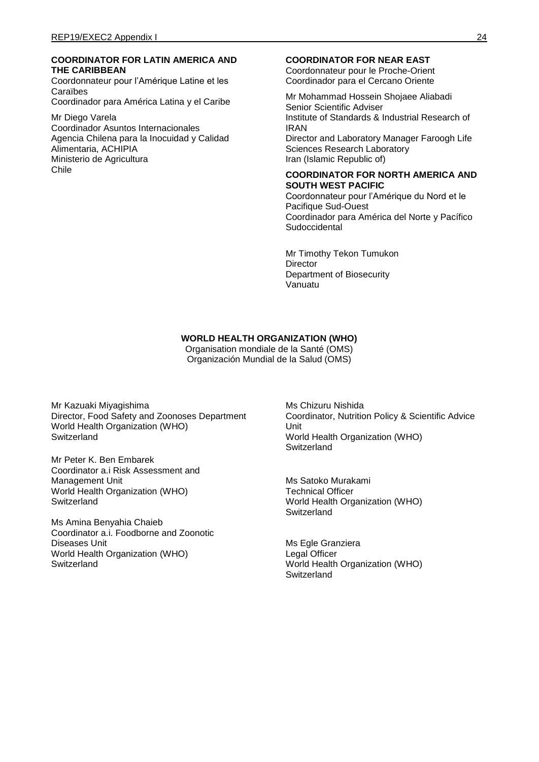# **COORDINATOR FOR LATIN AMERICA AND THE CARIBBEAN**

Coordonnateur pour l'Amérique Latine et les Caraïbes

Coordinador para América Latina y el Caribe

Mr Diego Varela Coordinador Asuntos Internacionales Agencia Chilena para la Inocuidad y Calidad Alimentaria, ACHIPIA Ministerio de Agricultura Chile

### **COORDINATOR FOR NEAR EAST**

Coordonnateur pour le Proche-Orient Coordinador para el Cercano Oriente

Mr Mohammad Hossein Shojaee Aliabadi Senior Scientific Adviser Institute of Standards & Industrial Research of IRAN Director and Laboratory Manager Faroogh Life Sciences Research Laboratory Iran (Islamic Republic of)

### **COORDINATOR FOR NORTH AMERICA AND SOUTH WEST PACIFIC**

Coordonnateur pour l'Amérique du Nord et le Pacifique Sud-Ouest Coordinador para América del Norte y Pacífico Sudoccidental

Mr Timothy Tekon Tumukon **Director** Department of Biosecurity Vanuatu

# **WORLD HEALTH ORGANIZATION (WHO)**

Organisation mondiale de la Santé (OMS) Organización Mundial de la Salud (OMS)

Mr Kazuaki Miyagishima Director, Food Safety and Zoonoses Department World Health Organization (WHO) **Switzerland** 

Mr Peter K. Ben Embarek Coordinator a.i Risk Assessment and Management Unit World Health Organization (WHO) **Switzerland** 

Ms Amina Benyahia Chaieb Coordinator a.i. Foodborne and Zoonotic Diseases Unit World Health Organization (WHO) **Switzerland** 

Ms Chizuru Nishida Coordinator, Nutrition Policy & Scientific Advice Unit World Health Organization (WHO) **Switzerland** 

Ms Satoko Murakami Technical Officer World Health Organization (WHO) Switzerland

Ms Egle Granziera Legal Officer World Health Organization (WHO) **Switzerland**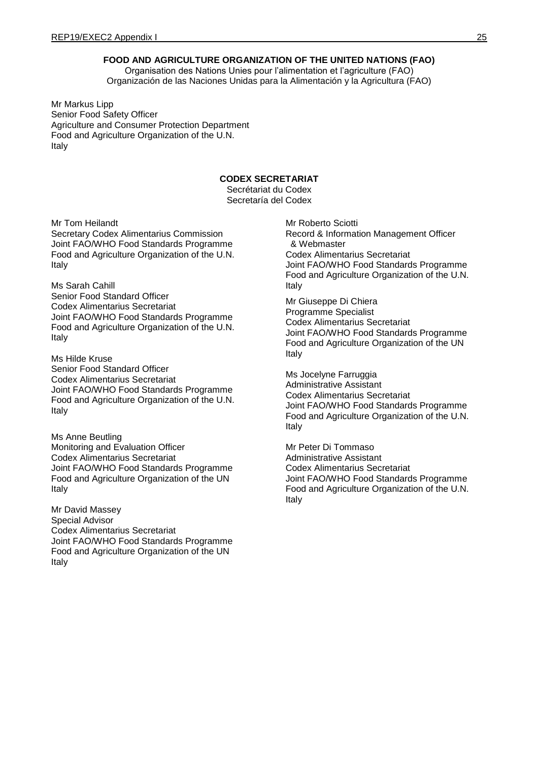# **FOOD AND AGRICULTURE ORGANIZATION OF THE UNITED NATIONS (FAO)**

Organisation des Nations Unies pour l'alimentation et l'agriculture (FAO) Organización de las Naciones Unidas para la Alimentación y la Agricultura (FAO)

Mr Markus Lipp Senior Food Safety Officer Agriculture and Consumer Protection Department Food and Agriculture Organization of the U.N. Italy

# **CODEX SECRETARIAT**

Secrétariat du Codex Secretaría del Codex

Mr Tom Heilandt Secretary Codex Alimentarius Commission Joint FAO/WHO Food Standards Programme Food and Agriculture Organization of the U.N. Italy

Ms Sarah Cahill Senior Food Standard Officer Codex Alimentarius Secretariat Joint FAO/WHO Food Standards Programme Food and Agriculture Organization of the U.N. Italy

Ms Hilde Kruse Senior Food Standard Officer Codex Alimentarius Secretariat Joint FAO/WHO Food Standards Programme Food and Agriculture Organization of the U.N. Italy

Ms Anne Beutling Monitoring and Evaluation Officer Codex Alimentarius Secretariat Joint FAO/WHO Food Standards Programme Food and Agriculture Organization of the UN Italy

Mr David Massey Special Advisor Codex Alimentarius Secretariat Joint FAO/WHO Food Standards Programme Food and Agriculture Organization of the UN Italy

Mr Roberto Sciotti Record & Information Management Officer & Webmaster Codex Alimentarius Secretariat Joint FAO/WHO Food Standards Programme Food and Agriculture Organization of the U.N. Italy

Mr Giuseppe Di Chiera Programme Specialist Codex Alimentarius Secretariat Joint FAO/WHO Food Standards Programme Food and Agriculture Organization of the UN Italy

Ms Jocelyne Farruggia Administrative Assistant Codex Alimentarius Secretariat Joint FAO/WHO Food Standards Programme Food and Agriculture Organization of the U.N. Italy

Mr Peter Di Tommaso Administrative Assistant Codex Alimentarius Secretariat Joint FAO/WHO Food Standards Programme Food and Agriculture Organization of the U.N. Italy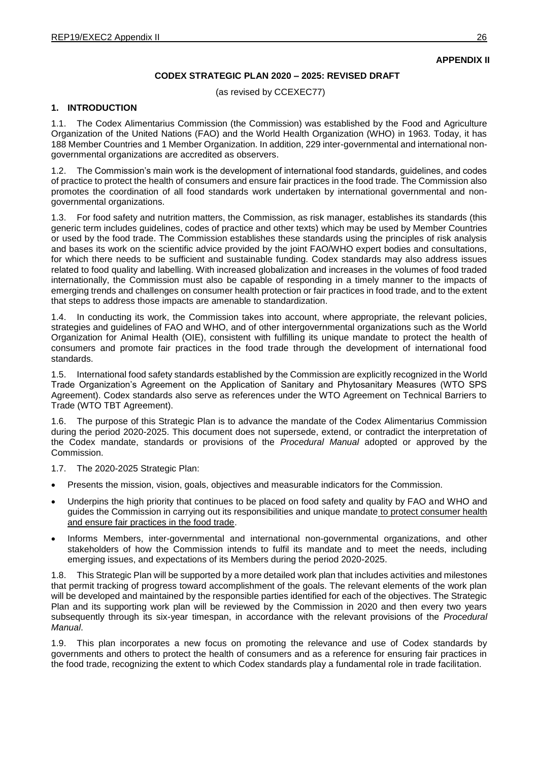**APPENDIX II**

# **CODEX STRATEGIC PLAN 2020 – 2025: REVISED DRAFT**

(as revised by CCEXEC77)

# **1. INTRODUCTION**

1.1. The Codex Alimentarius Commission (the Commission) was established by the Food and Agriculture Organization of the United Nations (FAO) and the World Health Organization (WHO) in 1963. Today, it has 188 Member Countries and 1 Member Organization. In addition, 229 inter-governmental and international nongovernmental organizations are accredited as observers.

1.2. The Commission's main work is the development of international food standards, guidelines, and codes of practice to protect the health of consumers and ensure fair practices in the food trade. The Commission also promotes the coordination of all food standards work undertaken by international governmental and nongovernmental organizations.

1.3. For food safety and nutrition matters, the Commission, as risk manager, establishes its standards (this generic term includes guidelines, codes of practice and other texts) which may be used by Member Countries or used by the food trade. The Commission establishes these standards using the principles of risk analysis and bases its work on the scientific advice provided by the joint FAO/WHO expert bodies and consultations, for which there needs to be sufficient and sustainable funding. Codex standards may also address issues related to food quality and labelling. With increased globalization and increases in the volumes of food traded internationally, the Commission must also be capable of responding in a timely manner to the impacts of emerging trends and challenges on consumer health protection or fair practices in food trade, and to the extent that steps to address those impacts are amenable to standardization.

In conducting its work, the Commission takes into account, where appropriate, the relevant policies, strategies and guidelines of FAO and WHO, and of other intergovernmental organizations such as the World Organization for Animal Health (OIE), consistent with fulfilling its unique mandate to protect the health of consumers and promote fair practices in the food trade through the development of international food standards.

1.5. International food safety standards established by the Commission are explicitly recognized in the World Trade Organization's Agreement on the Application of Sanitary and Phytosanitary Measures (WTO SPS Agreement). Codex standards also serve as references under the WTO Agreement on Technical Barriers to Trade (WTO TBT Agreement).

1.6. The purpose of this Strategic Plan is to advance the mandate of the Codex Alimentarius Commission during the period 2020-2025. This document does not supersede, extend, or contradict the interpretation of the Codex mandate, standards or provisions of the *Procedural Manual* adopted or approved by the Commission.

1.7. The 2020-2025 Strategic Plan:

- Presents the mission, vision, goals, objectives and measurable indicators for the Commission.
- Underpins the high priority that continues to be placed on food safety and quality by FAO and WHO and guides the Commission in carrying out its responsibilities and unique mandate to protect consumer health and ensure fair practices in the food trade.
- Informs Members, inter-governmental and international non-governmental organizations, and other stakeholders of how the Commission intends to fulfil its mandate and to meet the needs, including emerging issues, and expectations of its Members during the period 2020-2025.

1.8. This Strategic Plan will be supported by a more detailed work plan that includes activities and milestones that permit tracking of progress toward accomplishment of the goals. The relevant elements of the work plan will be developed and maintained by the responsible parties identified for each of the objectives. The Strategic Plan and its supporting work plan will be reviewed by the Commission in 2020 and then every two years subsequently through its six-year timespan, in accordance with the relevant provisions of the *Procedural Manual*.

1.9. This plan incorporates a new focus on promoting the relevance and use of Codex standards by governments and others to protect the health of consumers and as a reference for ensuring fair practices in the food trade, recognizing the extent to which Codex standards play a fundamental role in trade facilitation.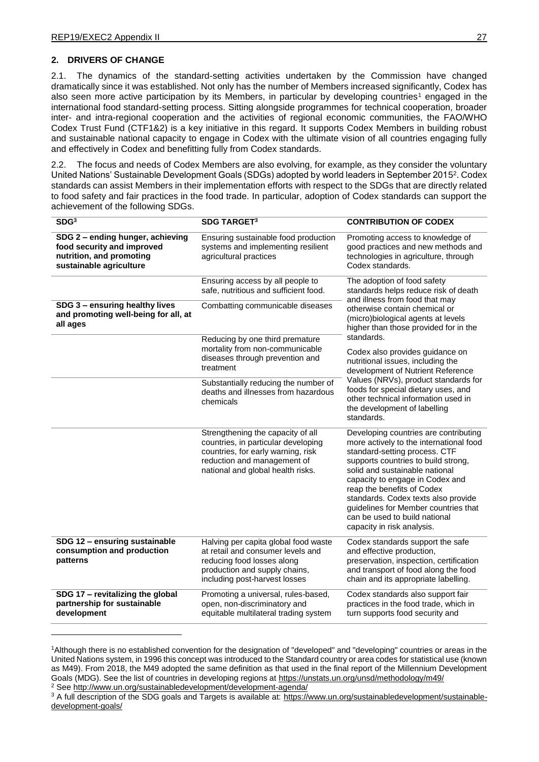# **2. DRIVERS OF CHANGE**

2.1. The dynamics of the standard-setting activities undertaken by the Commission have changed dramatically since it was established. Not only has the number of Members increased significantly, Codex has also seen more active participation by its Members, in particular by developing countries<sup>1</sup> engaged in the international food standard-setting process. Sitting alongside programmes for technical cooperation, broader inter- and intra-regional cooperation and the activities of regional economic communities, the FAO/WHO Codex Trust Fund (CTF1&2) is a key initiative in this regard. It supports Codex Members in building robust and sustainable national capacity to engage in Codex with the ultimate vision of all countries engaging fully and effectively in Codex and benefitting fully from Codex standards.

2.2. The focus and needs of Codex Members are also evolving, for example, as they consider the voluntary United Nations' Sustainable Development Goals (SDGs) adopted by world leaders in September 2015<sup>2</sup>. Codex standards can assist Members in their implementation efforts with respect to the SDGs that are directly related to food safety and fair practices in the food trade. In particular, adoption of Codex standards can support the achievement of the following SDGs.

| SDG <sup>3</sup>                                                                                                      | <b>SDG TARGET3</b>                                                                                                                                                                 | <b>CONTRIBUTION OF CODEX</b>                                                                                                                                                                                                                                                                                                                                                                              |
|-----------------------------------------------------------------------------------------------------------------------|------------------------------------------------------------------------------------------------------------------------------------------------------------------------------------|-----------------------------------------------------------------------------------------------------------------------------------------------------------------------------------------------------------------------------------------------------------------------------------------------------------------------------------------------------------------------------------------------------------|
| SDG 2 - ending hunger, achieving<br>food security and improved<br>nutrition, and promoting<br>sustainable agriculture | Ensuring sustainable food production<br>systems and implementing resilient<br>agricultural practices                                                                               | Promoting access to knowledge of<br>good practices and new methods and<br>technologies in agriculture, through<br>Codex standards.                                                                                                                                                                                                                                                                        |
|                                                                                                                       | Ensuring access by all people to<br>safe, nutritious and sufficient food.                                                                                                          | The adoption of food safety<br>standards helps reduce risk of death<br>and illness from food that may                                                                                                                                                                                                                                                                                                     |
| SDG 3 - ensuring healthy lives<br>and promoting well-being for all, at<br>all ages                                    | Combatting communicable diseases                                                                                                                                                   | otherwise contain chemical or<br>(micro)biological agents at levels<br>higher than those provided for in the<br>standards.                                                                                                                                                                                                                                                                                |
|                                                                                                                       | Reducing by one third premature<br>mortality from non-communicable<br>diseases through prevention and<br>treatment                                                                 | Codex also provides guidance on<br>nutritional issues, including the<br>development of Nutrient Reference                                                                                                                                                                                                                                                                                                 |
|                                                                                                                       | Substantially reducing the number of<br>deaths and illnesses from hazardous<br>chemicals                                                                                           | Values (NRVs), product standards for<br>foods for special dietary uses, and<br>other technical information used in<br>the development of labelling<br>standards.                                                                                                                                                                                                                                          |
|                                                                                                                       | Strengthening the capacity of all<br>countries, in particular developing<br>countries, for early warning, risk<br>reduction and management of<br>national and global health risks. | Developing countries are contributing<br>more actively to the international food<br>standard-setting process. CTF<br>supports countries to build strong,<br>solid and sustainable national<br>capacity to engage in Codex and<br>reap the benefits of Codex<br>standards. Codex texts also provide<br>guidelines for Member countries that<br>can be used to build national<br>capacity in risk analysis. |
| SDG 12 - ensuring sustainable<br>consumption and production<br>patterns                                               | Halving per capita global food waste<br>at retail and consumer levels and<br>reducing food losses along<br>production and supply chains,<br>including post-harvest losses          | Codex standards support the safe<br>and effective production,<br>preservation, inspection, certification<br>and transport of food along the food<br>chain and its appropriate labelling.                                                                                                                                                                                                                  |
| SDG 17 - revitalizing the global<br>partnership for sustainable<br>development                                        | Promoting a universal, rules-based,<br>open, non-discriminatory and<br>equitable multilateral trading system                                                                       | Codex standards also support fair<br>practices in the food trade, which in<br>turn supports food security and                                                                                                                                                                                                                                                                                             |

<sup>1</sup>Although there is no established convention for the designation of "developed" and "developing" countries or areas in the United Nations system, in 1996 this concept was introduced to the Standard country or area codes for statistical use (known as M49). From 2018, the M49 adopted the same definition as that used in the final report of the Millennium Development Goals (MDG). See the list of countries in developing regions at<https://unstats.un.org/unsd/methodology/m49/> <sup>2</sup> See<http://www.un.org/sustainabledevelopment/development-agenda/>

<sup>3</sup> A full description of the SDG goals and Targets is available at: [https://www.un.org/sustainabledevelopment/sustainable](https://www.un.org/sustainabledevelopment/sustainable-development-goals/)[development-goals/](https://www.un.org/sustainabledevelopment/sustainable-development-goals/)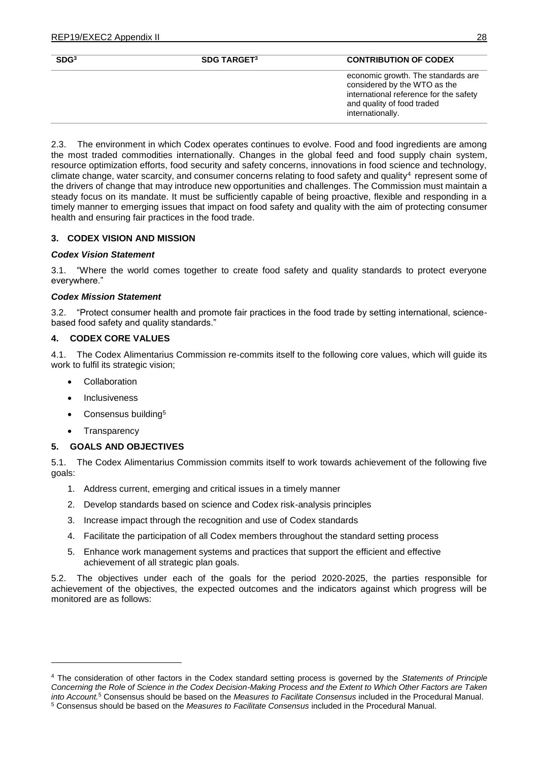| SDG <sup>3</sup> | <b>SDG TARGET3</b> | <b>CONTRIBUTION OF CODEX</b>                                                                                                                                   |
|------------------|--------------------|----------------------------------------------------------------------------------------------------------------------------------------------------------------|
|                  |                    | economic growth. The standards are<br>considered by the WTO as the<br>international reference for the safety<br>and quality of food traded<br>internationally. |
|                  |                    |                                                                                                                                                                |

2.3. The environment in which Codex operates continues to evolve. Food and food ingredients are among the most traded commodities internationally. Changes in the global feed and food supply chain system, resource optimization efforts, food security and safety concerns, innovations in food science and technology, climate change, water scarcity, and consumer concerns relating to food safety and quality<sup>4</sup> represent some of the drivers of change that may introduce new opportunities and challenges. The Commission must maintain a steady focus on its mandate. It must be sufficiently capable of being proactive, flexible and responding in a timely manner to emerging issues that impact on food safety and quality with the aim of protecting consumer health and ensuring fair practices in the food trade.

# **3. CODEX VISION AND MISSION**

### *Codex Vision Statement*

3.1. "Where the world comes together to create food safety and quality standards to protect everyone everywhere."

### *Codex Mission Statement*

3.2. "Protect consumer health and promote fair practices in the food trade by setting international, sciencebased food safety and quality standards."

# **4. CODEX CORE VALUES**

4.1. The Codex Alimentarius Commission re-commits itself to the following core values, which will guide its work to fulfil its strategic vision;

- Collaboration
- Inclusiveness
- Consensus building<sup>5</sup>
- Transparency

# **5. GOALS AND OBJECTIVES**

5.1. The Codex Alimentarius Commission commits itself to work towards achievement of the following five goals:

- 1. Address current, emerging and critical issues in a timely manner
- 2. Develop standards based on science and Codex risk-analysis principles
- 3. Increase impact through the recognition and use of Codex standards
- 4. Facilitate the participation of all Codex members throughout the standard setting process
- 5. Enhance work management systems and practices that support the efficient and effective achievement of all strategic plan goals.

5.2. The objectives under each of the goals for the period 2020-2025, the parties responsible for achievement of the objectives, the expected outcomes and the indicators against which progress will be monitored are as follows:

<sup>4</sup> The consideration of other factors in the Codex standard setting process is governed by the *Statements of Principle Concerning the Role of Science in the Codex Decision-Making Process and the Extent to Which Other Factors are Taken into Account.*<sup>5</sup> Consensus should be based on the *Measures to Facilitate Consensus* included in the Procedural Manual. <sup>5</sup> Consensus should be based on the *Measures to Facilitate Consensus* included in the Procedural Manual.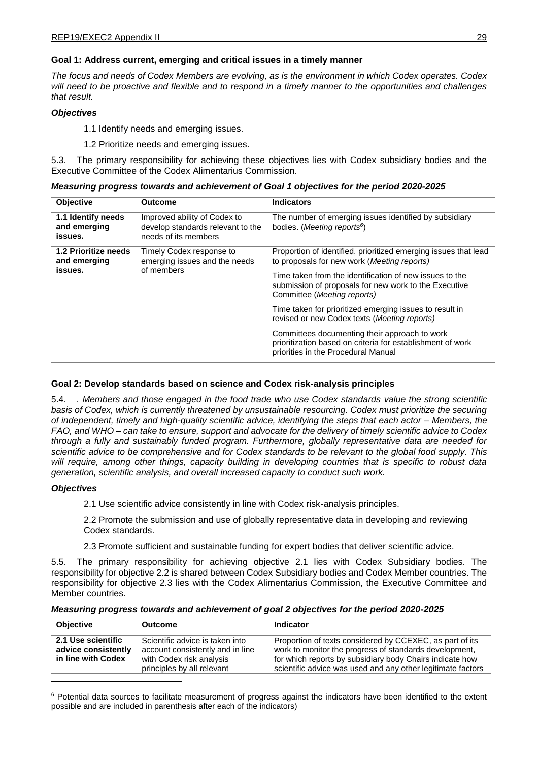# **Goal 1: Address current, emerging and critical issues in a timely manner**

*The focus and needs of Codex Members are evolving, as is the environment in which Codex operates. Codex will need to be proactive and flexible and to respond in a timely manner to the opportunities and challenges that result.*

# *Objectives*

1.1 Identify needs and emerging issues.

1.2 Prioritize needs and emerging issues.

5.3. The primary responsibility for achieving these objectives lies with Codex subsidiary bodies and the Executive Committee of the Codex Alimentarius Commission.

| <b>Objective</b>                                | <b>Outcome</b>                                                                            | <b>Indicators</b>                                                                                                                                  |
|-------------------------------------------------|-------------------------------------------------------------------------------------------|----------------------------------------------------------------------------------------------------------------------------------------------------|
| 1.1 Identify needs<br>and emerging<br>issues.   | Improved ability of Codex to<br>develop standards relevant to the<br>needs of its members | The number of emerging issues identified by subsidiary<br>bodies. ( <i>Meeting reports</i> <sup>6</sup> )                                          |
| 1.2 Prioritize needs<br>and emerging<br>issues. | Timely Codex response to<br>emerging issues and the needs<br>of members                   | Proportion of identified, prioritized emerging issues that lead<br>to proposals for new work ( <i>Meeting reports</i> )                            |
|                                                 |                                                                                           | Time taken from the identification of new issues to the<br>submission of proposals for new work to the Executive<br>Committee (Meeting reports)    |
|                                                 |                                                                                           | Time taken for prioritized emerging issues to result in<br>revised or new Codex texts (Meeting reports)                                            |
|                                                 |                                                                                           | Committees documenting their approach to work<br>prioritization based on criteria for establishment of work<br>priorities in the Procedural Manual |

### **Goal 2: Develop standards based on science and Codex risk-analysis principles**

5.4. *. Members and those engaged in the food trade who use Codex standards value the strong scientific basis of Codex, which is currently threatened by unsustainable resourcing. Codex must prioritize the securing of independent, timely and high-quality scientific advice, identifying the steps that each actor – Members, the FAO, and WHO – can take to ensure, support and advocate for the delivery of timely scientific advice to Codex through a fully and sustainably funded program. Furthermore, globally representative data are needed for scientific advice to be comprehensive and for Codex standards to be relevant to the global food supply. This will require, among other things, capacity building in developing countries that is specific to robust data generation, scientific analysis, and overall increased capacity to conduct such work.*

### *Objectives*

2.1 Use scientific advice consistently in line with Codex risk-analysis principles.

2.2 Promote the submission and use of globally representative data in developing and reviewing Codex standards.

2.3 Promote sufficient and sustainable funding for expert bodies that deliver scientific advice.

5.5. The primary responsibility for achieving objective 2.1 lies with Codex Subsidiary bodies. The responsibility for objective 2.2 is shared between Codex Subsidiary bodies and Codex Member countries. The responsibility for objective 2.3 lies with the Codex Alimentarius Commission, the Executive Committee and Member countries.

| Measuring progress towards and achievement of goal 2 objectives for the period 2020-2025 |  |  |  |  |
|------------------------------------------------------------------------------------------|--|--|--|--|
|------------------------------------------------------------------------------------------|--|--|--|--|

| <b>Objective</b>                                                | <b>Outcome</b>                                                                                                                | <b>Indicator</b>                                                                                                                                                                                                                              |
|-----------------------------------------------------------------|-------------------------------------------------------------------------------------------------------------------------------|-----------------------------------------------------------------------------------------------------------------------------------------------------------------------------------------------------------------------------------------------|
| 2.1 Use scientific<br>advice consistently<br>in line with Codex | Scientific advice is taken into<br>account consistently and in line<br>with Codex risk analysis<br>principles by all relevant | Proportion of texts considered by CCEXEC, as part of its<br>work to monitor the progress of standards development,<br>for which reports by subsidiary body Chairs indicate how<br>scientific advice was used and any other legitimate factors |

<sup>6</sup> Potential data sources to facilitate measurement of progress against the indicators have been identified to the extent possible and are included in parenthesis after each of the indicators)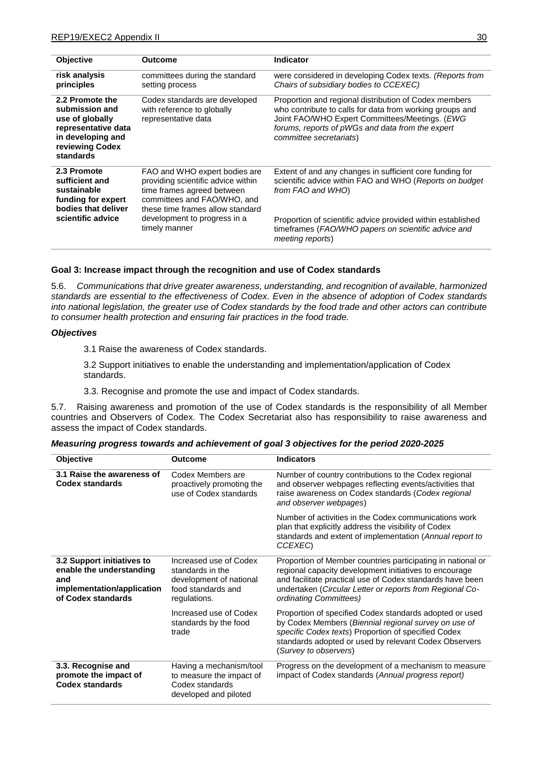| <b>Objective</b>                                                                                                                        | Outcome                                                                                                                                                                                                               | <b>Indicator</b>                                                                                                                                                                                                                                                                   |
|-----------------------------------------------------------------------------------------------------------------------------------------|-----------------------------------------------------------------------------------------------------------------------------------------------------------------------------------------------------------------------|------------------------------------------------------------------------------------------------------------------------------------------------------------------------------------------------------------------------------------------------------------------------------------|
| risk analysis<br>principles                                                                                                             | committees during the standard<br>setting process                                                                                                                                                                     | were considered in developing Codex texts. (Reports from<br>Chairs of subsidiary bodies to CCEXEC)                                                                                                                                                                                 |
| 2.2 Promote the<br>submission and<br>use of globally<br>representative data<br>in developing and<br>reviewing Codex<br><b>standards</b> | Codex standards are developed<br>with reference to globally<br>representative data                                                                                                                                    | Proportion and regional distribution of Codex members<br>who contribute to calls for data from working groups and<br>Joint FAO/WHO Expert Committees/Meetings. (EWG<br>forums, reports of pWGs and data from the expert<br>committee secretariats)                                 |
| 2.3 Promote<br>sufficient and<br>sustainable<br>funding for expert<br>bodies that deliver<br>scientific advice                          | FAO and WHO expert bodies are<br>providing scientific advice within<br>time frames agreed between<br>committees and FAO/WHO, and<br>these time frames allow standard<br>development to progress in a<br>timely manner | Extent of and any changes in sufficient core funding for<br>scientific advice within FAO and WHO (Reports on budget<br>from FAO and WHO)<br>Proportion of scientific advice provided within established<br>timeframes (FAO/WHO papers on scientific advice and<br>meeting reports) |

#### **Goal 3: Increase impact through the recognition and use of Codex standards**

5.6. *Communications that drive greater awareness, understanding, and recognition of available, harmonized standards are essential to the effectiveness of Codex. Even in the absence of adoption of Codex standards into national legislation, the greater use of Codex standards by the food trade and other actors can contribute to consumer health protection and ensuring fair practices in the food trade.*

#### *Objectives*

3.1 Raise the awareness of Codex standards.

3.2 Support initiatives to enable the understanding and implementation/application of Codex standards.

3.3. Recognise and promote the use and impact of Codex standards.

5.7. Raising awareness and promotion of the use of Codex standards is the responsibility of all Member countries and Observers of Codex. The Codex Secretariat also has responsibility to raise awareness and assess the impact of Codex standards.

| Objective                                                                                                         | <b>Outcome</b>                                                                                              | <b>Indicators</b>                                                                                                                                                                                                                                                        |
|-------------------------------------------------------------------------------------------------------------------|-------------------------------------------------------------------------------------------------------------|--------------------------------------------------------------------------------------------------------------------------------------------------------------------------------------------------------------------------------------------------------------------------|
| 3.1 Raise the awareness of<br><b>Codex standards</b>                                                              | Codex Members are<br>proactively promoting the<br>use of Codex standards                                    | Number of country contributions to the Codex regional<br>and observer webpages reflecting events/activities that<br>raise awareness on Codex standards (Codex regional<br>and observer webpages)                                                                         |
|                                                                                                                   |                                                                                                             | Number of activities in the Codex communications work<br>plan that explicitly address the visibility of Codex<br>standards and extent of implementation (Annual report to<br>CCEXEC)                                                                                     |
| 3.2 Support initiatives to<br>enable the understanding<br>and<br>implementation/application<br>of Codex standards | Increased use of Codex<br>standards in the<br>development of national<br>food standards and<br>regulations. | Proportion of Member countries participating in national or<br>regional capacity development initiatives to encourage<br>and facilitate practical use of Codex standards have been<br>undertaken (Circular Letter or reports from Regional Co-<br>ordinating Committees) |
|                                                                                                                   | Increased use of Codex<br>standards by the food<br>trade                                                    | Proportion of specified Codex standards adopted or used<br>by Codex Members (Biennial regional survey on use of<br>specific Codex texts) Proportion of specified Codex<br>standards adopted or used by relevant Codex Observers<br>(Survey to observers)                 |
| 3.3. Recognise and<br>promote the impact of<br><b>Codex standards</b>                                             | Having a mechanism/tool<br>to measure the impact of<br>Codex standards<br>developed and piloted             | Progress on the development of a mechanism to measure<br>impact of Codex standards (Annual progress report)                                                                                                                                                              |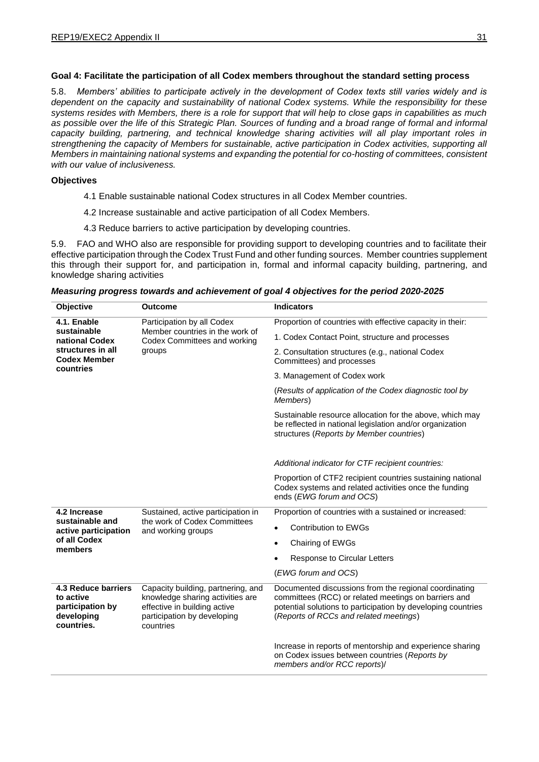# **Goal 4: Facilitate the participation of all Codex members throughout the standard setting process**

5.8. *Members' abilities to participate actively in the development of Codex texts still varies widely and is dependent on the capacity and sustainability of national Codex systems. While the responsibility for these systems resides with Members, there is a role for support that will help to close gaps in capabilities as much*  as possible over the life of this Strategic Plan. Sources of funding and a broad range of formal and informal *capacity building, partnering, and technical knowledge sharing activities will all play important roles in strengthening the capacity of Members for sustainable, active participation in Codex activities, supporting all Members in maintaining national systems and expanding the potential for co-hosting of committees, consistent with our value of inclusiveness.*

# **Objectives**

- 4.1 Enable sustainable national Codex structures in all Codex Member countries.
- 4.2 Increase sustainable and active participation of all Codex Members.
- 4.3 Reduce barriers to active participation by developing countries.

5.9. FAO and WHO also are responsible for providing support to developing countries and to facilitate their effective participation through the Codex Trust Fund and other funding sources. Member countries supplement this through their support for, and participation in, formal and informal capacity building, partnering, and knowledge sharing activities

| Objective                                                                                             | <b>Outcome</b>                                                                                                                                     | <b>Indicators</b>                                                                                                                                                                                                       |
|-------------------------------------------------------------------------------------------------------|----------------------------------------------------------------------------------------------------------------------------------------------------|-------------------------------------------------------------------------------------------------------------------------------------------------------------------------------------------------------------------------|
| 4.1. Enable<br>sustainable<br>national Codex<br>structures in all<br><b>Codex Member</b><br>countries | Participation by all Codex<br>Member countries in the work of<br>Codex Committees and working<br>groups                                            | Proportion of countries with effective capacity in their:                                                                                                                                                               |
|                                                                                                       |                                                                                                                                                    | 1. Codex Contact Point, structure and processes                                                                                                                                                                         |
|                                                                                                       |                                                                                                                                                    | 2. Consultation structures (e.g., national Codex<br>Committees) and processes                                                                                                                                           |
|                                                                                                       |                                                                                                                                                    | 3. Management of Codex work                                                                                                                                                                                             |
|                                                                                                       |                                                                                                                                                    | (Results of application of the Codex diagnostic tool by<br>Members)                                                                                                                                                     |
|                                                                                                       |                                                                                                                                                    | Sustainable resource allocation for the above, which may<br>be reflected in national legislation and/or organization<br>structures (Reports by Member countries)                                                        |
|                                                                                                       |                                                                                                                                                    | Additional indicator for CTF recipient countries:                                                                                                                                                                       |
|                                                                                                       |                                                                                                                                                    | Proportion of CTF2 recipient countries sustaining national<br>Codex systems and related activities once the funding<br>ends (EWG forum and OCS)                                                                         |
| 4.2 Increase                                                                                          | Sustained, active participation in                                                                                                                 | Proportion of countries with a sustained or increased:                                                                                                                                                                  |
| sustainable and<br>active participation<br>of all Codex<br>members                                    | the work of Codex Committees<br>and working groups                                                                                                 | <b>Contribution to EWGs</b><br>$\bullet$                                                                                                                                                                                |
|                                                                                                       |                                                                                                                                                    | Chairing of EWGs<br>$\bullet$                                                                                                                                                                                           |
|                                                                                                       |                                                                                                                                                    | Response to Circular Letters                                                                                                                                                                                            |
|                                                                                                       |                                                                                                                                                    | (EWG forum and OCS)                                                                                                                                                                                                     |
| <b>4.3 Reduce barriers</b><br>to active<br>participation by<br>developing<br>countries.               | Capacity building, partnering, and<br>knowledge sharing activities are<br>effective in building active<br>participation by developing<br>countries | Documented discussions from the regional coordinating<br>committees (RCC) or related meetings on barriers and<br>potential solutions to participation by developing countries<br>(Reports of RCCs and related meetings) |
|                                                                                                       |                                                                                                                                                    | Increase in reports of mentorship and experience sharing<br>on Codex issues between countries (Reports by<br>members and/or RCC reports)/                                                                               |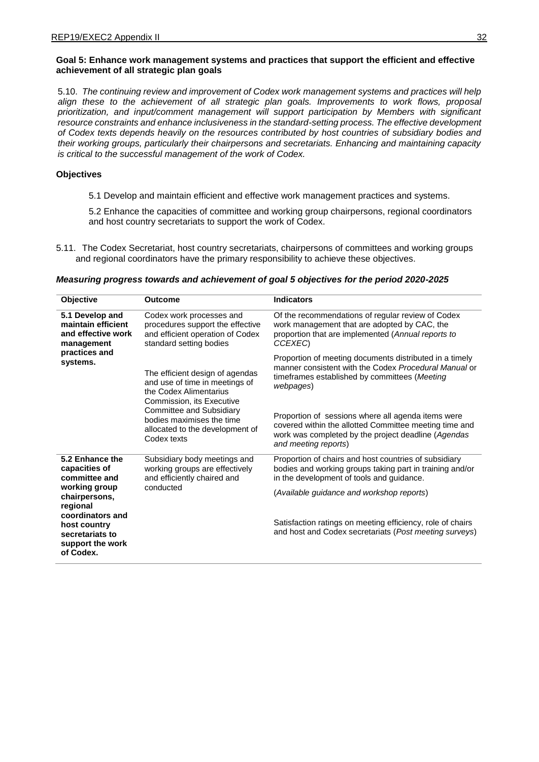# **Goal 5: Enhance work management systems and practices that support the efficient and effective achievement of all strategic plan goals**

5.10. *The continuing review and improvement of Codex work management systems and practices will help align these to the achievement of all strategic plan goals. Improvements to work flows, proposal prioritization, and input/comment management will support participation by Members with significant resource constraints and enhance inclusiveness in the standard-setting process. The effective development of Codex texts depends heavily on the resources contributed by host countries of subsidiary bodies and their working groups, particularly their chairpersons and secretariats. Enhancing and maintaining capacity is critical to the successful management of the work of Codex.*

### **Objectives**

5.1 Develop and maintain efficient and effective work management practices and systems.

5.2 Enhance the capacities of committee and working group chairpersons, regional coordinators and host country secretariats to support the work of Codex.

5.11. The Codex Secretariat, host country secretariats, chairpersons of committees and working groups and regional coordinators have the primary responsibility to achieve these objectives.

### *Measuring progress towards and achievement of goal 5 objectives for the period 2020-2025*

| Objective                                                                                                                                                                               | <b>Outcome</b>                                                                                                                                                                                                                      | <b>Indicators</b>                                                                                                                                                                           |
|-----------------------------------------------------------------------------------------------------------------------------------------------------------------------------------------|-------------------------------------------------------------------------------------------------------------------------------------------------------------------------------------------------------------------------------------|---------------------------------------------------------------------------------------------------------------------------------------------------------------------------------------------|
| 5.1 Develop and<br>maintain efficient<br>and effective work<br>management<br>practices and<br>systems.                                                                                  | Codex work processes and<br>procedures support the effective<br>and efficient operation of Codex<br>standard setting bodies                                                                                                         | Of the recommendations of regular review of Codex<br>work management that are adopted by CAC, the<br>proportion that are implemented (Annual reports to<br>CCEXEC)                          |
|                                                                                                                                                                                         | The efficient design of agendas<br>and use of time in meetings of<br>the Codex Alimentarius<br>Commission, its Executive<br>Committee and Subsidiary<br>bodies maximises the time<br>allocated to the development of<br>Codex texts | Proportion of meeting documents distributed in a timely<br>manner consistent with the Codex Procedural Manual or<br>timeframes established by committees ( <i>Meeting</i><br>webpages)      |
|                                                                                                                                                                                         |                                                                                                                                                                                                                                     | Proportion of sessions where all agenda items were<br>covered within the allotted Committee meeting time and<br>work was completed by the project deadline (Agendas<br>and meeting reports) |
| 5.2 Enhance the<br>capacities of<br>committee and<br>working group<br>chairpersons,<br>regional<br>coordinators and<br>host country<br>secretariats to<br>support the work<br>of Codex. | Subsidiary body meetings and<br>working groups are effectively<br>and efficiently chaired and<br>conducted                                                                                                                          | Proportion of chairs and host countries of subsidiary<br>bodies and working groups taking part in training and/or<br>in the development of tools and guidance.                              |
|                                                                                                                                                                                         |                                                                                                                                                                                                                                     | (Available guidance and workshop reports)                                                                                                                                                   |
|                                                                                                                                                                                         |                                                                                                                                                                                                                                     | Satisfaction ratings on meeting efficiency, role of chairs<br>and host and Codex secretariats (Post meeting surveys)                                                                        |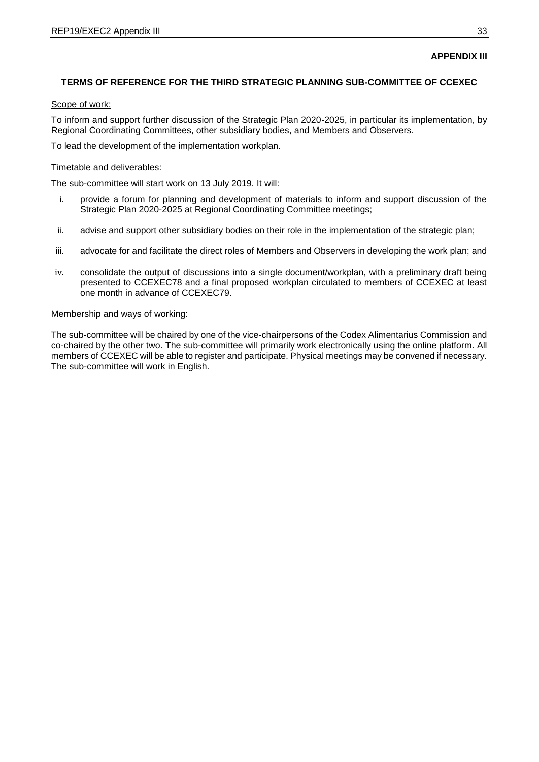# **APPENDIX III**

# **TERMS OF REFERENCE FOR THE THIRD STRATEGIC PLANNING SUB-COMMITTEE OF CCEXEC**

# Scope of work:

To inform and support further discussion of the Strategic Plan 2020-2025, in particular its implementation, by Regional Coordinating Committees, other subsidiary bodies, and Members and Observers.

To lead the development of the implementation workplan.

### Timetable and deliverables:

The sub-committee will start work on 13 July 2019. It will:

- i. provide a forum for planning and development of materials to inform and support discussion of the Strategic Plan 2020-2025 at Regional Coordinating Committee meetings;
- ii. advise and support other subsidiary bodies on their role in the implementation of the strategic plan;
- iii. advocate for and facilitate the direct roles of Members and Observers in developing the work plan; and
- iv. consolidate the output of discussions into a single document/workplan, with a preliminary draft being presented to CCEXEC78 and a final proposed workplan circulated to members of CCEXEC at least one month in advance of CCEXEC79.

### Membership and ways of working:

The sub-committee will be chaired by one of the vice-chairpersons of the Codex Alimentarius Commission and co-chaired by the other two. The sub-committee will primarily work electronically using the online platform. All members of CCEXEC will be able to register and participate. Physical meetings may be convened if necessary. The sub-committee will work in English.